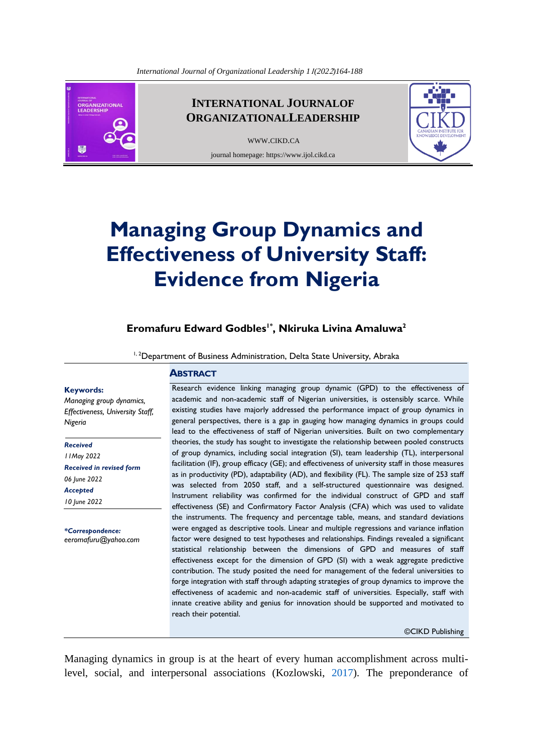

# **INTERNATIONAL JOURNALOF ORGANIZATIONALLEADERSHIP**

[WWW](http://www.cikd.ca/).CIKD.CA journal homepage: https://www.ijol.cikd.ca



# **Managing Group Dynamics and Effectiveness of University Staff: Evidence from Nigeria**

**Eromafuru Edward Godbles1\* , Nkiruka Livina Amaluwa<sup>2</sup>**

<sup>1, 2</sup>Department of Business Administration, Delta State University, Abraka

#### **Keywords:**

*Managing group dynamics, Effectiveness, University Staff, Nigeria*

*Received*

*11May 2022 Received in revised form 06 June 2022 Accepted 10 June 2022*

*\*Correspondence: [eeromafuru@yahoo.com](mailto:eeromafuru@yahoo.com)* **ABSTRACT**

Research evidence linking managing group dynamic (GPD) to the effectiveness of academic and non-academic staff of Nigerian universities, is ostensibly scarce. While existing studies have majorly addressed the performance impact of group dynamics in general perspectives, there is a gap in gauging how managing dynamics in groups could lead to the effectiveness of staff of Nigerian universities. Built on two complementary theories, the study has sought to investigate the relationship between pooled constructs of group dynamics, including social integration (SI), team leadership (TL), interpersonal facilitation (IF), group efficacy (GE); and effectiveness of university staff in those measures as in productivity (PD), adaptability (AD), and flexibility (FL). The sample size of 253 staff was selected from 2050 staff, and a self-structured questionnaire was designed. Instrument reliability was confirmed for the individual construct of GPD and staff effectiveness (SE) and Confirmatory Factor Analysis (CFA) which was used to validate the instruments. The frequency and percentage table, means, and standard deviations were engaged as descriptive tools. Linear and multiple regressions and variance inflation factor were designed to test hypotheses and relationships. Findings revealed a significant statistical relationship between the dimensions of GPD and measures of staff effectiveness except for the dimension of GPD (SI) with a weak aggregate predictive contribution. The study posited the need for management of the federal universities to forge integration with staff through adapting strategies of group dynamics to improve the effectiveness of academic and non-academic staff of universities. Especially, staff with innate creative ability and genius for innovation should be supported and motivated to reach their potential.

<span id="page-0-0"></span>©CIKD Publishing

Managing dynamics in group is at the heart of every human accomplishment across multilevel, social, and interpersonal associations (Kozlowski, [2017\)](#page-22-0). The preponderance of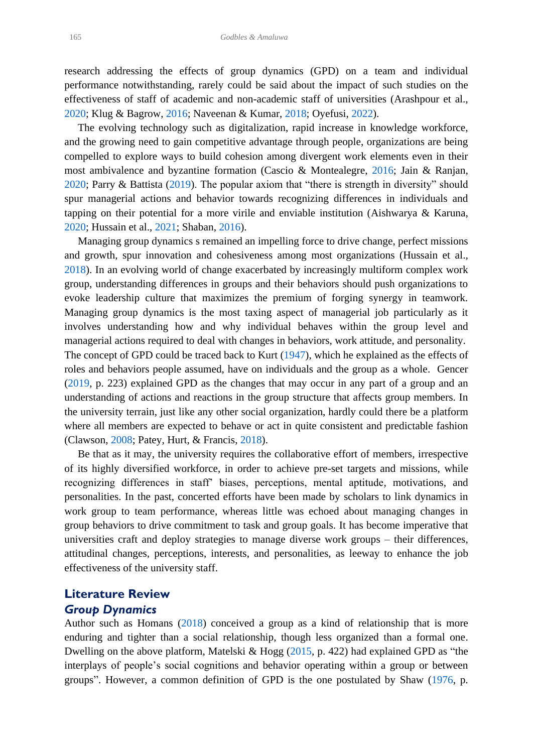<span id="page-1-1"></span>research addressing the effects of group dynamics (GPD) on a team and individual performance notwithstanding, rarely could be said about the impact of such studies on the effectiveness of staff of academic and non-academic staff of universities (Arashpour et al., [2020;](#page-21-0) Klug & Bagrow, [2016;](#page-22-1) Naveenan & Kumar, [2018;](#page-23-0) Oyefusi, [2022\)](#page-23-1).

<span id="page-1-14"></span><span id="page-1-13"></span><span id="page-1-12"></span><span id="page-1-9"></span><span id="page-1-8"></span><span id="page-1-2"></span> The evolving technology such as digitalization, rapid increase in knowledge workforce, and the growing need to gain competitive advantage through people, organizations are being compelled to explore ways to build cohesion among divergent work elements even in their most ambivalence and byzantine formation (Cascio & Montealegre, [2016;](#page-21-1) Jain & Ranjan, [2020;](#page-22-2) Parry & Battista [\(2019\)](#page-23-2). The popular axiom that "there is strength in diversity" should spur managerial actions and behavior towards recognizing differences in individuals and tapping on their potential for a more virile and enviable institution (Aishwarya & Karuna, [2020;](#page-21-2) Hussain et al., [2021;](#page-22-3) Shaban, [2016\)](#page-23-3).

<span id="page-1-16"></span><span id="page-1-7"></span><span id="page-1-6"></span><span id="page-1-0"></span> Managing group dynamics s remained an impelling force to drive change, perfect missions and growth, spur innovation and cohesiveness among most organizations (Hussain et al., [2018\)](#page-22-4). In an evolving world of change exacerbated by increasingly multiform complex work group, understanding differences in groups and their behaviors should push organizations to evoke leadership culture that maximizes the premium of forging synergy in teamwork. Managing group dynamics is the most taxing aspect of managerial job particularly as it involves understanding how and why individual behaves within the group level and managerial actions required to deal with changes in behaviors, work attitude, and personality. The concept of GPD could be traced back to Kurt [\(1947\)](#page-22-5), which he explained as the effects of roles and behaviors people assumed, have on individuals and the group as a whole. Gencer [\(2019,](#page-22-6) p. 223) explained GPD as the changes that may occur in any part of a group and an understanding of actions and reactions in the group structure that affects group members. In the university terrain, just like any other social organization, hardly could there be a platform where all members are expected to behave or act in quite consistent and predictable fashion

 Be that as it may, the university requires the collaborative effort of members, irrespective of its highly diversified workforce, in order to achieve pre-set targets and missions, while recognizing differences in staff' biases, perceptions, mental aptitude, motivations, and personalities. In the past, concerted efforts have been made by scholars to link dynamics in work group to team performance, whereas little was echoed about managing changes in group behaviors to drive commitment to task and group goals. It has become imperative that universities craft and deploy strategies to manage diverse work groups – their differences, attitudinal changes, perceptions, interests, and personalities, as leeway to enhance the job effectiveness of the university staff.

# **Literature Review** *Group Dynamics*

<span id="page-1-15"></span><span id="page-1-10"></span><span id="page-1-4"></span><span id="page-1-3"></span>(Clawson, [2008;](#page-21-3) Patey, Hurt, & Francis, [2018\)](#page-23-4).

<span id="page-1-17"></span><span id="page-1-11"></span><span id="page-1-5"></span>Author such as Homans [\(2018\)](#page-22-7) conceived a group as a kind of relationship that is more enduring and tighter than a social relationship, though less organized than a formal one. Dwelling on the above platform, Matelski & Hogg [\(2015,](#page-22-8) p. 422) had explained GPD as "the interplays of people's social cognitions and behavior operating within a group or between groups". However, a common definition of GPD is the one postulated by Shaw [\(1976,](#page-23-5) p.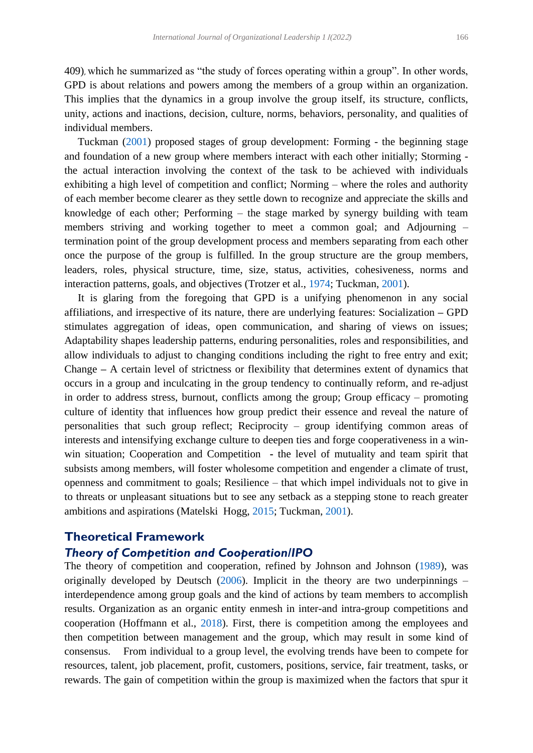409), which he summarized as "the study of forces operating within a group". In other words, GPD is about relations and powers among the members of a group within an organization. This implies that the dynamics in a group involve the group itself, its structure, conflicts, unity, actions and inactions, decision, culture, norms, behaviors, personality, and qualities of individual members.

<span id="page-2-4"></span> Tuckman [\(2001\)](#page-23-6) proposed stages of group development: Forming - the beginning stage and foundation of a new group where members interact with each other initially; Storming the actual interaction involving the context of the task to be achieved with individuals exhibiting a high level of competition and conflict; Norming – where the roles and authority of each member become clearer as they settle down to recognize and appreciate the skills and knowledge of each other; Performing – the stage marked by synergy building with team members striving and working together to meet a common goal; and Adjourning – termination point of the group development process and members separating from each other once the purpose of the group is fulfilled. In the group structure are the group members, leaders, roles, physical structure, time, size, status, activities, cohesiveness, norms and interaction patterns, goals, and objectives (Trotzer et al., [1974;](#page-23-7) Tuckman, [2001\)](#page-23-6).

<span id="page-2-3"></span> It is glaring from the foregoing that GPD is a unifying phenomenon in any social affiliations, and irrespective of its nature, there are underlying features: Socialization **–** GPD stimulates aggregation of ideas, open communication, and sharing of views on issues; Adaptability shapes leadership patterns, enduring personalities, roles and responsibilities, and allow individuals to adjust to changing conditions including the right to free entry and exit; Change **–** A certain level of strictness or flexibility that determines extent of dynamics that occurs in a group and inculcating in the group tendency to continually reform, and re-adjust in order to address stress, burnout, conflicts among the group; Group efficacy – promoting culture of identity that influences how group predict their essence and reveal the nature of personalities that such group reflect; Reciprocity – group identifying common areas of interests and intensifying exchange culture to deepen ties and forge cooperativeness in a winwin situation; Cooperation and Competition - the level of mutuality and team spirit that subsists among members, will foster wholesome competition and engender a climate of trust, openness and commitment to goals; Resilience – that which impel individuals not to give in to threats or unpleasant situations but to see any setback as a stepping stone to reach greater ambitions and aspirations (Matelski Hogg, [2015;](#page-22-8) Tuckman, [2001\)](#page-23-6).

# **Theoretical Framework**

### <span id="page-2-2"></span>*Theory of Competition and Cooperation/IPO*

<span id="page-2-1"></span><span id="page-2-0"></span>The theory of competition and cooperation, refined by Johnson and Johnson [\(1989\)](#page-22-9), was originally developed by Deutsch  $(2006)$ . Implicit in the theory are two underpinnings – interdependence among group goals and the kind of actions by team members to accomplish results. Organization as an organic entity enmesh in inter-and intra-group competitions and cooperation (Hoffmann et al., [2018\)](#page-22-10). First, there is competition among the employees and then competition between management and the group, which may result in some kind of consensus. From individual to a group level, the evolving trends have been to compete for resources, talent, job placement, profit, customers, positions, service, fair treatment, tasks, or rewards. The gain of competition within the group is maximized when the factors that spur it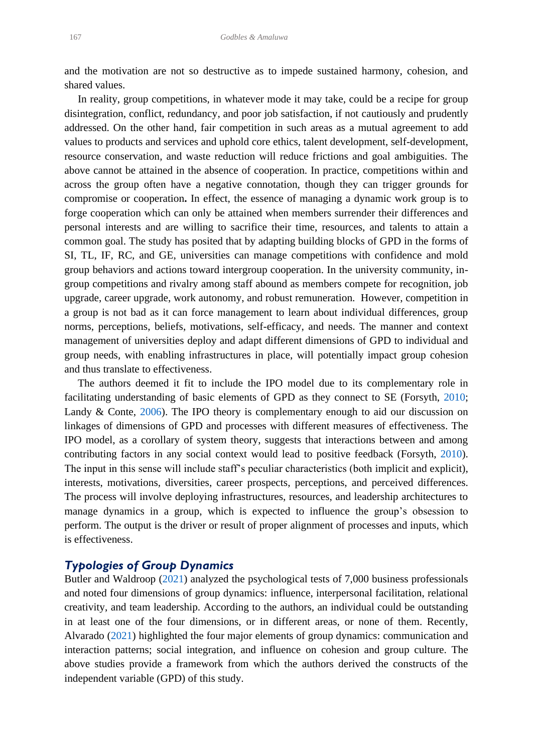and the motivation are not so destructive as to impede sustained harmony, cohesion, and shared values.

 In reality, group competitions, in whatever mode it may take, could be a recipe for group disintegration, conflict, redundancy, and poor job satisfaction, if not cautiously and prudently addressed. On the other hand, fair competition in such areas as a mutual agreement to add values to products and services and uphold core ethics, talent development, self-development, resource conservation, and waste reduction will reduce frictions and goal ambiguities. The above cannot be attained in the absence of cooperation. In practice, competitions within and across the group often have a negative connotation, though they can trigger grounds for compromise or cooperation**.** In effect, the essence of managing a dynamic work group is to forge cooperation which can only be attained when members surrender their differences and personal interests and are willing to sacrifice their time, resources, and talents to attain a common goal. The study has posited that by adapting building blocks of GPD in the forms of SI, TL, IF, RC, and GE, universities can manage competitions with confidence and mold group behaviors and actions toward intergroup cooperation. In the university community, ingroup competitions and rivalry among staff abound as members compete for recognition, job upgrade, career upgrade, work autonomy, and robust remuneration. However, competition in a group is not bad as it can force management to learn about individual differences, group norms, perceptions, beliefs, motivations, self-efficacy, and needs. The manner and context management of universities deploy and adapt different dimensions of GPD to individual and group needs, with enabling infrastructures in place, will potentially impact group cohesion and thus translate to effectiveness.

<span id="page-3-3"></span><span id="page-3-2"></span> The authors deemed it fit to include the IPO model due to its complementary role in facilitating understanding of basic elements of GPD as they connect to SE (Forsyth, [2010;](#page-21-5) Landy & Conte, [2006\)](#page-22-11). The IPO theory is complementary enough to aid our discussion on linkages of dimensions of GPD and processes with different measures of effectiveness. The IPO model, as a corollary of system theory, suggests that interactions between and among contributing factors in any social context would lead to positive feedback (Forsyth, [2010\)](#page-21-5). The input in this sense will include staff's peculiar characteristics (both implicit and explicit), interests, motivations, diversities, career prospects, perceptions, and perceived differences. The process will involve deploying infrastructures, resources, and leadership architectures to manage dynamics in a group, which is expected to influence the group's obsession to perform. The output is the driver or result of proper alignment of processes and inputs, which is effectiveness.

### *Typologies of Group Dynamics*

<span id="page-3-1"></span><span id="page-3-0"></span>Butler and Waldroop [\(2021\)](#page-21-6) analyzed the psychological tests of 7,000 business professionals and noted four dimensions of group dynamics: influence, interpersonal facilitation, relational creativity, and team leadership. According to the authors, an individual could be outstanding in at least one of the four dimensions, or in different areas, or none of them. Recently, Alvarado [\(2021\)](#page-21-7) highlighted the four major elements of group dynamics: communication and interaction patterns; social integration, and influence on cohesion and group culture. The above studies provide a framework from which the authors derived the constructs of the independent variable (GPD) of this study.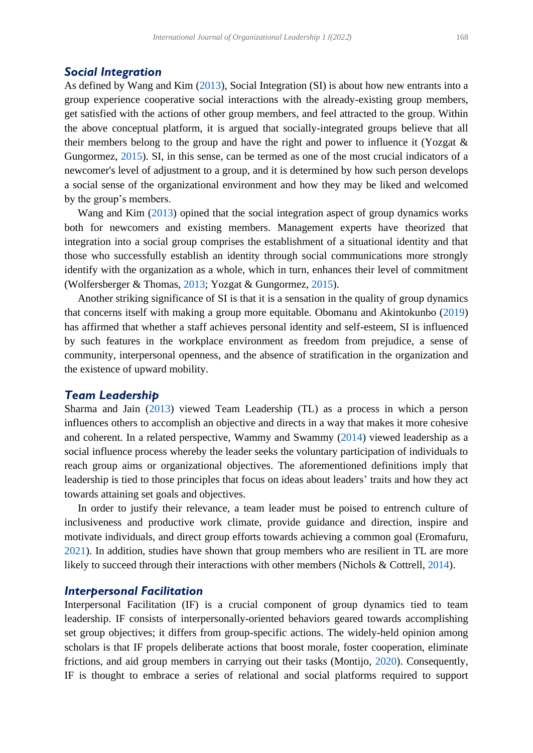#### *Social Integration*

<span id="page-4-8"></span><span id="page-4-6"></span>As defined by Wang and Kim [\(2013\)](#page-24-0), Social Integration (SI) is about how new entrants into a group experience cooperative social interactions with the already-existing group members, get satisfied with the actions of other group members, and feel attracted to the group. Within the above conceptual platform, it is argued that socially-integrated groups believe that all their members belong to the group and have the right and power to influence it (Yozgat & Gungormez, [2015\)](#page-24-1). SI, in this sense, can be termed as one of the most crucial indicators of a newcomer's level of adjustment to a group, and it is determined by how such person develops a social sense of the organizational environment and how they may be liked and welcomed by the group's members.

 Wang and Kim [\(2013\)](#page-24-0) opined that the social integration aspect of group dynamics works both for newcomers and existing members. Management experts have theorized that integration into a social group comprises the establishment of a situational identity and that those who successfully establish an identity through social communications more strongly identify with the organization as a whole, which in turn, enhances their level of commitment (Wolfersberger & Thomas, [2013;](#page-24-2) Yozgat & Gungormez, [2015\)](#page-24-1).

<span id="page-4-7"></span><span id="page-4-3"></span> Another striking significance of SI is that it is a sensation in the quality of group dynamics that concerns itself with making a group more equitable. Obomanu and Akintokunbo [\(2019\)](#page-23-8) has affirmed that whether a staff achieves personal identity and self-esteem, SI is influenced by such features in the workplace environment as freedom from prejudice, a sense of community, interpersonal openness, and the absence of stratification in the organization and the existence of upward mobility.

### *Team Leadership*

<span id="page-4-5"></span><span id="page-4-4"></span>Sharma and Jain [\(2013\)](#page-23-9) viewed Team Leadership (TL) as a process in which a person influences others to accomplish an objective and directs in a way that makes it more cohesive and coherent. In a related perspective, Wammy and Swammy [\(2014\)](#page-24-3) viewed leadership as a social influence process whereby the leader seeks the voluntary participation of individuals to reach group aims or organizational objectives. The aforementioned definitions imply that leadership is tied to those principles that focus on ideas about leaders' traits and how they act towards attaining set goals and objectives.

<span id="page-4-0"></span> In order to justify their relevance, a team leader must be poised to entrench culture of inclusiveness and productive work climate, provide guidance and direction, inspire and motivate individuals, and direct group efforts towards achieving a common goal (Eromafuru, [2021\)](#page-21-8). In addition, studies have shown that group members who are resilient in TL are more likely to succeed through their interactions with other members (Nichols & Cottrell, [2014\)](#page-23-10).

#### <span id="page-4-2"></span>*Interpersonal Facilitation*

<span id="page-4-1"></span>Interpersonal Facilitation (IF) is a crucial component of group dynamics tied to team leadership. IF consists of interpersonally-oriented behaviors geared towards accomplishing set group objectives; it differs from group-specific actions. The widely-held opinion among scholars is that IF propels deliberate actions that boost morale, foster cooperation, eliminate frictions, and aid group members in carrying out their tasks (Montijo, [2020\)](#page-22-12). Consequently, IF is thought to embrace a series of relational and social platforms required to support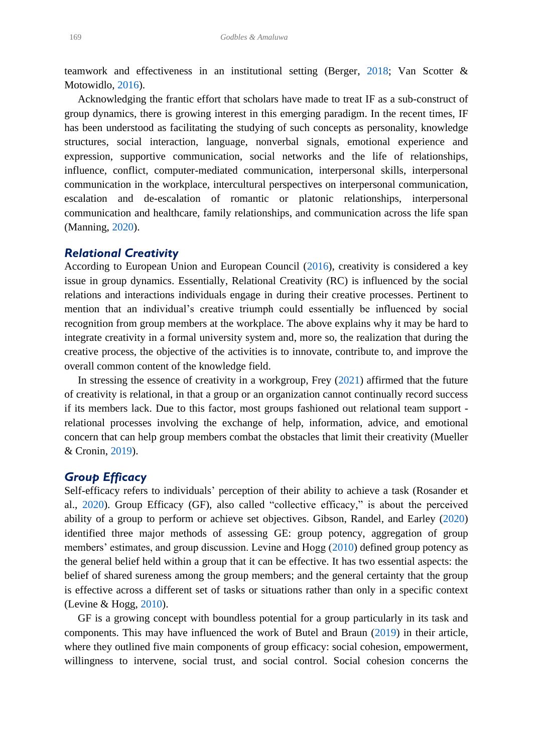<span id="page-5-9"></span><span id="page-5-0"></span>teamwork and effectiveness in an institutional setting (Berger, [2018;](#page-21-9) Van Scotter & Motowidlo, [2016\)](#page-23-11).

 Acknowledging the frantic effort that scholars have made to treat IF as a sub-construct of group dynamics, there is growing interest in this emerging paradigm. In the recent times, IF has been understood as facilitating the studying of such concepts as personality, knowledge structures, social interaction, language, nonverbal signals, emotional experience and expression, supportive communication, social networks and the life of relationships, influence, conflict, computer-mediated communication, interpersonal skills, interpersonal communication in the workplace, intercultural perspectives on interpersonal communication, escalation and de-escalation of romantic or platonic relationships, interpersonal communication and healthcare, family relationships, and communication across the life span (Manning, [2020\)](#page-22-13).

### <span id="page-5-6"></span>*Relational Creativity*

<span id="page-5-2"></span>According to European Union and European Council [\(2016\)](#page-21-10), creativity is considered a key issue in group dynamics. Essentially, Relational Creativity (RC) is influenced by the social relations and interactions individuals engage in during their creative processes. Pertinent to mention that an individual's creative triumph could essentially be influenced by social recognition from group members at the workplace. The above explains why it may be hard to integrate creativity in a formal university system and, more so, the realization that during the creative process, the objective of the activities is to innovate, contribute to, and improve the overall common content of the knowledge field.

<span id="page-5-3"></span> In stressing the essence of creativity in a workgroup, Frey [\(2021\)](#page-21-11) affirmed that the future of creativity is relational, in that a group or an organization cannot continually record success if its members lack. Due to this factor, most groups fashioned out relational team support relational processes involving the exchange of help, information, advice, and emotional concern that can help group members combat the obstacles that limit their creativity (Mueller & Cronin, [2019\)](#page-23-12).

### <span id="page-5-7"></span>*Group Efficacy*

<span id="page-5-8"></span><span id="page-5-5"></span><span id="page-5-4"></span>Self-efficacy refers to individuals' perception of their ability to achieve a task (Rosander et al., [2020\)](#page-23-13). Group Efficacy (GF), also called "collective efficacy," is about the perceived ability of a group to perform or achieve set objectives. Gibson, Randel, and Earley [\(2020\)](#page-22-14) identified three major methods of assessing GE: group potency, aggregation of group members' estimates, and group discussion. Levine and Hogg [\(2010\)](#page-22-15) defined group potency as the general belief held within a group that it can be effective. It has two essential aspects: the belief of shared sureness among the group members; and the general certainty that the group is effective across a different set of tasks or situations rather than only in a specific context (Levine & Hogg, [2010\)](#page-22-15).

<span id="page-5-1"></span> GF is a growing concept with boundless potential for a group particularly in its task and components. This may have influenced the work of Butel and Braun [\(2019\)](#page-21-12) in their article, where they outlined five main components of group efficacy: social cohesion, empowerment, willingness to intervene, social trust, and social control. Social cohesion concerns the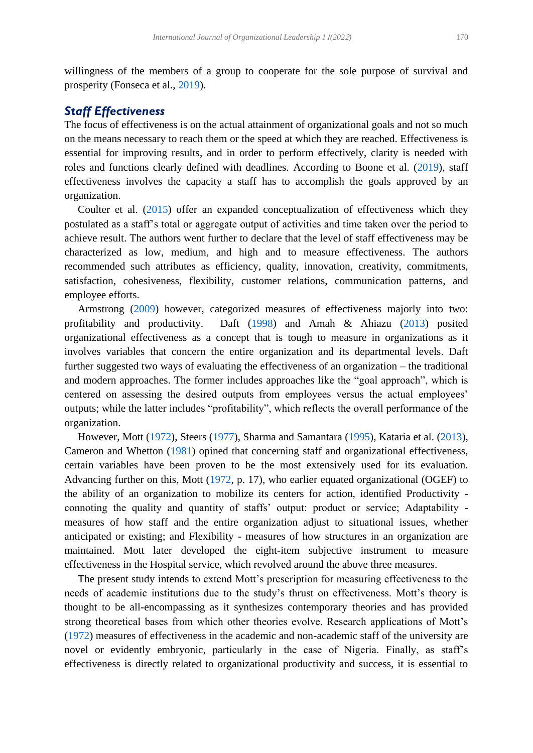<span id="page-6-6"></span>willingness of the members of a group to cooperate for the sole purpose of survival and prosperity (Fonseca et al., [2019\)](#page-21-13).

### *Staff Effectiveness*

<span id="page-6-2"></span>The focus of effectiveness is on the actual attainment of organizational goals and not so much on the means necessary to reach them or the speed at which they are reached. Effectiveness is essential for improving results, and in order to perform effectively, clarity is needed with roles and functions clearly defined with deadlines. According to Boone et al. [\(2019\)](#page-21-14), staff effectiveness involves the capacity a staff has to accomplish the goals approved by an organization.

<span id="page-6-4"></span> Coulter et al. [\(2015\)](#page-21-15) offer an expanded conceptualization of effectiveness which they postulated as a staff's total or aggregate output of activities and time taken over the period to achieve result. The authors went further to declare that the level of staff effectiveness may be characterized as low, medium, and high and to measure effectiveness. The authors recommended such attributes as efficiency, quality, innovation, creativity, commitments, satisfaction, cohesiveness, flexibility, customer relations, communication patterns, and employee efforts.

<span id="page-6-5"></span><span id="page-6-1"></span><span id="page-6-0"></span> Armstrong [\(2009\)](#page-21-16) however, categorized measures of effectiveness majorly into two: profitability and productivity. Daft [\(1998\)](#page-21-17) and Amah & Ahiazu [\(2013\)](#page-21-18) posited organizational effectiveness as a concept that is tough to measure in organizations as it involves variables that concern the entire organization and its departmental levels. Daft further suggested two ways of evaluating the effectiveness of an organization – the traditional and modern approaches. The former includes approaches like the "goal approach", which is centered on assessing the desired outputs from employees versus the actual employees' outputs; while the latter includes "profitability", which reflects the overall performance of the organization.

<span id="page-6-10"></span><span id="page-6-9"></span><span id="page-6-8"></span><span id="page-6-7"></span><span id="page-6-3"></span> However, Mott [\(1972\)](#page-22-16), Steers [\(1977\)](#page-23-14), Sharma and Samantara [\(1995\)](#page-23-15), Kataria et al. [\(2013\)](#page-22-17), Cameron and Whetton [\(1981\)](#page-21-19) opined that concerning staff and organizational effectiveness, certain variables have been proven to be the most extensively used for its evaluation. Advancing further on this, Mott [\(1972,](#page-22-16) p. 17), who earlier equated organizational (OGEF) to the ability of an organization to mobilize its centers for action, identified Productivity connoting the quality and quantity of staffs' output: product or service; Adaptability measures of how staff and the entire organization adjust to situational issues, whether anticipated or existing; and Flexibility - measures of how structures in an organization are maintained. Mott later developed the eight-item subjective instrument to measure effectiveness in the Hospital service, which revolved around the above three measures.

 The present study intends to extend Mott's prescription for measuring effectiveness to the needs of academic institutions due to the study's thrust on effectiveness. Mott's theory is thought to be all-encompassing as it synthesizes contemporary theories and has provided strong theoretical bases from which other theories evolve. Research applications of Mott's [\(1972\)](#page-22-16) measures of effectiveness in the academic and non-academic staff of the university are novel or evidently embryonic, particularly in the case of Nigeria. Finally, as staff's effectiveness is directly related to organizational productivity and success, it is essential to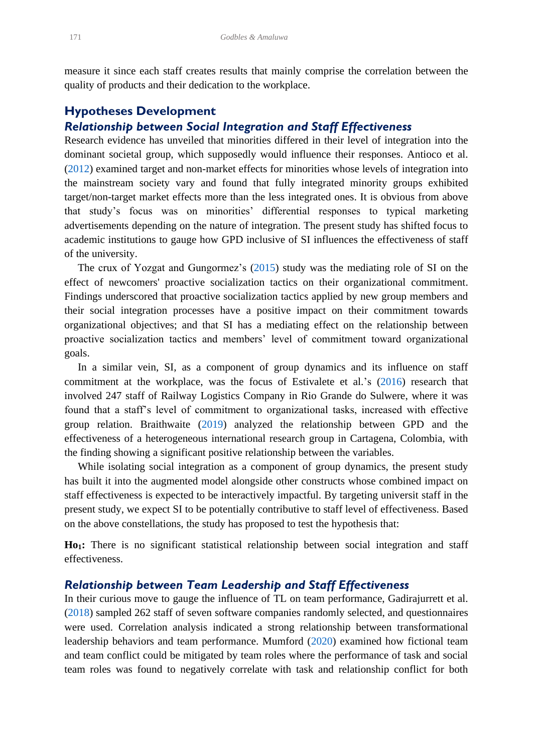measure it since each staff creates results that mainly comprise the correlation between the quality of products and their dedication to the workplace.

### **Hypotheses Development**

# *Relationship between Social Integration and Staff Effectiveness*

<span id="page-7-0"></span>Research evidence has unveiled that minorities differed in their level of integration into the dominant societal group, which supposedly would influence their responses. Antioco et al. [\(2012\)](#page-21-20) examined target and non-market effects for minorities whose levels of integration into the mainstream society vary and found that fully integrated minority groups exhibited target/non-target market effects more than the less integrated ones. It is obvious from above that study's focus was on minorities' differential responses to typical marketing advertisements depending on the nature of integration. The present study has shifted focus to academic institutions to gauge how GPD inclusive of SI influences the effectiveness of staff of the university.

 The crux of Yozgat and Gungormez's [\(2015\)](#page-24-1) study was the mediating role of SI on the effect of newcomers' proactive socialization tactics on their organizational commitment. Findings underscored that proactive socialization tactics applied by new group members and their social integration processes have a positive impact on their commitment towards organizational objectives; and that SI has a mediating effect on the relationship between proactive socialization tactics and members' level of commitment toward organizational goals.

<span id="page-7-2"></span> In a similar vein, SI, as a component of group dynamics and its influence on staff commitment at the workplace, was the focus of Estivalete et al.'s [\(2016\)](#page-21-21) research that involved 247 staff of Railway Logistics Company in Rio Grande do Sulwere, where it was found that a staff's level of commitment to organizational tasks, increased with effective group relation. Braithwaite [\(2019\)](#page-21-22) analyzed the relationship between GPD and the effectiveness of a heterogeneous international research group in Cartagena, Colombia, with the finding showing a significant positive relationship between the variables.

<span id="page-7-1"></span> While isolating social integration as a component of group dynamics, the present study has built it into the augmented model alongside other constructs whose combined impact on staff effectiveness is expected to be interactively impactful. By targeting universit staff in the present study, we expect SI to be potentially contributive to staff level of effectiveness. Based on the above constellations, the study has proposed to test the hypothesis that:

**Ho1:** There is no significant statistical relationship between social integration and staff effectiveness.

### *Relationship between Team Leadership and Staff Effectiveness*

<span id="page-7-4"></span><span id="page-7-3"></span>In their curious move to gauge the influence of TL on team performance, Gadirajurrett et al. [\(2018\)](#page-22-18) sampled 262 staff of seven software companies randomly selected, and questionnaires were used. Correlation analysis indicated a strong relationship between transformational leadership behaviors and team performance. Mumford [\(2020\)](#page-23-16) examined how fictional team and team conflict could be mitigated by team roles where the performance of task and social team roles was found to negatively correlate with task and relationship conflict for both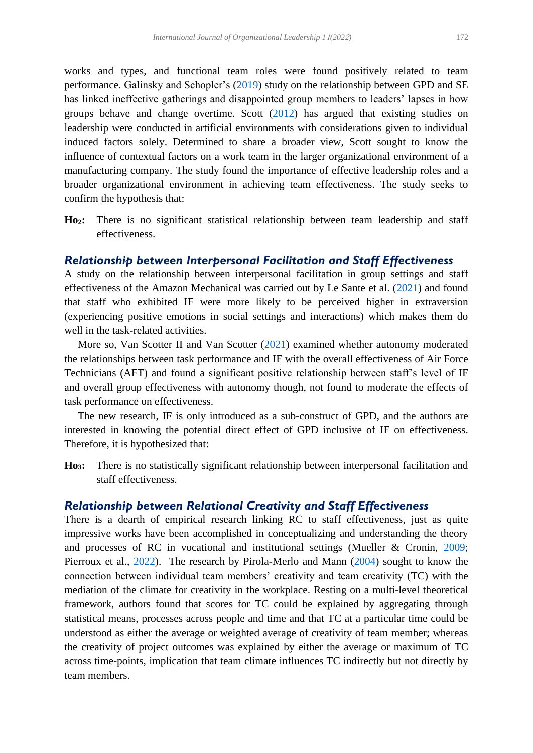<span id="page-8-4"></span><span id="page-8-0"></span>works and types, and functional team roles were found positively related to team performance. Galinsky and Schopler's [\(2019\)](#page-22-19) study on the relationship between GPD and SE has linked ineffective gatherings and disappointed group members to leaders' lapses in how groups behave and change overtime. Scott [\(2012\)](#page-23-17) has argued that existing studies on leadership were conducted in artificial environments with considerations given to individual induced factors solely. Determined to share a broader view, Scott sought to know the influence of contextual factors on a work team in the larger organizational environment of a manufacturing company. The study found the importance of effective leadership roles and a broader organizational environment in achieving team effectiveness. The study seeks to confirm the hypothesis that:

**Ho2:** There is no significant statistical relationship between team leadership and staff effectiveness.

### *Relationship between Interpersonal Facilitation and Staff Effectiveness*

<span id="page-8-1"></span>A study on the relationship between interpersonal facilitation in group settings and staff effectiveness of the Amazon Mechanical was carried out by Le Sante et al. [\(2021\)](#page-22-20) and found that staff who exhibited IF were more likely to be perceived higher in extraversion (experiencing positive emotions in social settings and interactions) which makes them do well in the task-related activities.

<span id="page-8-5"></span> More so, Van Scotter II and Van Scotter [\(2021\)](#page-23-18) examined whether autonomy moderated the relationships between task performance and IF with the overall effectiveness of Air Force Technicians (AFT) and found a significant positive relationship between staff's level of IF and overall group effectiveness with autonomy though, not found to moderate the effects of task performance on effectiveness.

 The new research, IF is only introduced as a sub-construct of GPD, and the authors are interested in knowing the potential direct effect of GPD inclusive of IF on effectiveness. Therefore, it is hypothesized that:

**Ho3:** There is no statistically significant relationship between interpersonal facilitation and staff effectiveness.

### *Relationship between Relational Creativity and Staff Effectiveness*

<span id="page-8-3"></span><span id="page-8-2"></span>There is a dearth of empirical research linking RC to staff effectiveness, just as quite impressive works have been accomplished in conceptualizing and understanding the theory and processes of RC in vocational and institutional settings (Mueller & Cronin, [2009;](#page-23-12) Pierroux et al., [2022\)](#page-23-19). The research by Pirola-Merlo and Mann [\(2004\)](#page-23-20) sought to know the connection between individual team members' creativity and team creativity (TC) with the mediation of the climate for creativity in the workplace. Resting on a multi-level theoretical framework, authors found that scores for TC could be explained by aggregating through statistical means, processes across people and time and that TC at a particular time could be understood as either the average or weighted average of creativity of team member; whereas the creativity of project outcomes was explained by either the average or maximum of TC across time-points, implication that team climate influences TC indirectly but not directly by team members.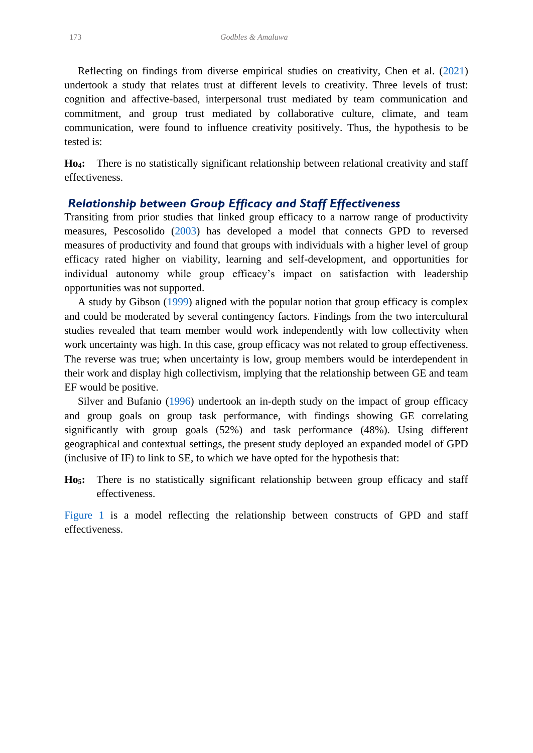<span id="page-9-0"></span> Reflecting on findings from diverse empirical studies on creativity, Chen et al. [\(2021\)](#page-21-23) undertook a study that relates trust at different levels to creativity. Three levels of trust: cognition and affective-based, interpersonal trust mediated by team communication and commitment, and group trust mediated by collaborative culture, climate, and team communication, were found to influence creativity positively. Thus, the hypothesis to be tested is:

**Ho4:** There is no statistically significant relationship between relational creativity and staff effectiveness.

# *Relationship between Group Efficacy and Staff Effectiveness*

<span id="page-9-2"></span>Transiting from prior studies that linked group efficacy to a narrow range of productivity measures, Pescosolido [\(2003\)](#page-23-21) has developed a model that connects GPD to reversed measures of productivity and found that groups with individuals with a higher level of group efficacy rated higher on viability, learning and self-development, and opportunities for individual autonomy while group efficacy's impact on satisfaction with leadership opportunities was not supported.

<span id="page-9-1"></span> A study by Gibson [\(1999\)](#page-22-21) aligned with the popular notion that group efficacy is complex and could be moderated by several contingency factors. Findings from the two intercultural studies revealed that team member would work independently with low collectivity when work uncertainty was high. In this case, group efficacy was not related to group effectiveness. The reverse was true; when uncertainty is low, group members would be interdependent in their work and display high collectivism, implying that the relationship between GE and team EF would be positive.

<span id="page-9-3"></span> Silver and Bufanio [\(1996\)](#page-23-22) undertook an in-depth study on the impact of group efficacy and group goals on group task performance, with findings showing GE correlating significantly with group goals (52%) and task performance (48%). Using different geographical and contextual settings, the present study deployed an expanded model of GPD (inclusive of IF) to link to SE, to which we have opted for the hypothesis that:

**Ho5:** There is no statistically significant relationship between group efficacy and staff effectiveness.

[Figure 1](#page-10-0) is a model reflecting the relationship between constructs of GPD and staff effectiveness.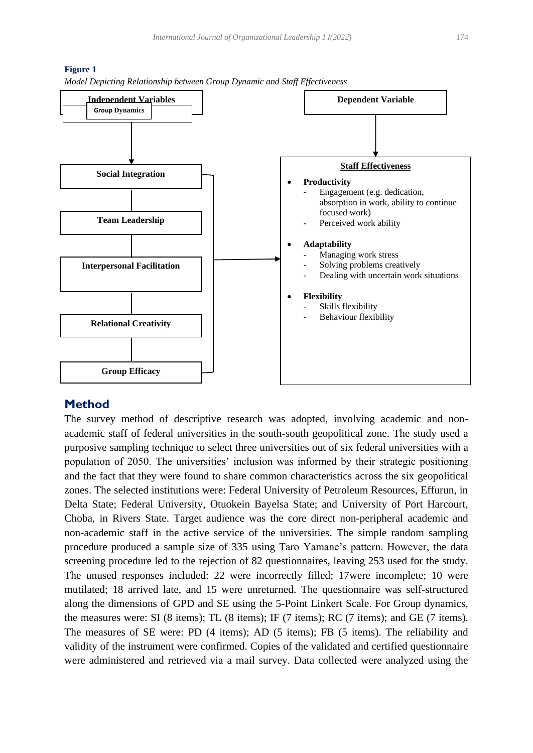

#### <span id="page-10-0"></span>**Figure 1**



# **Method**

The survey method of descriptive research was adopted, involving academic and nonacademic staff of federal universities in the south-south geopolitical zone. The study used a purposive sampling technique to select three universities out of six federal universities with a population of 2050. The universities' inclusion was informed by their strategic positioning and the fact that they were found to share common characteristics across the six geopolitical zones. The selected institutions were: Federal University of Petroleum Resources, Effurun, in Delta State; Federal University, Otuokein Bayelsa State; and University of Port Harcourt, Choba, in Rivers State. Target audience was the core direct non-peripheral academic and non-academic staff in the active service of the universities. The simple random sampling procedure produced a sample size of 335 using Taro Yamane's pattern. However, the data screening procedure led to the rejection of 82 questionnaires, leaving 253 used for the study. The unused responses included: 22 were incorrectly filled; 17were incomplete; 10 were mutilated; 18 arrived late, and 15 were unreturned. The questionnaire was self-structured along the dimensions of GPD and SE using the 5-Point Linkert Scale. For Group dynamics, the measures were: SI (8 items); TL (8 items); IF (7 items); RC (7 items); and GE (7 items). The measures of SE were: PD (4 items); AD (5 items); FB (5 items). The reliability and validity of the instrument were confirmed. Copies of the validated and certified questionnaire were administered and retrieved via a mail survey. Data collected were analyzed using the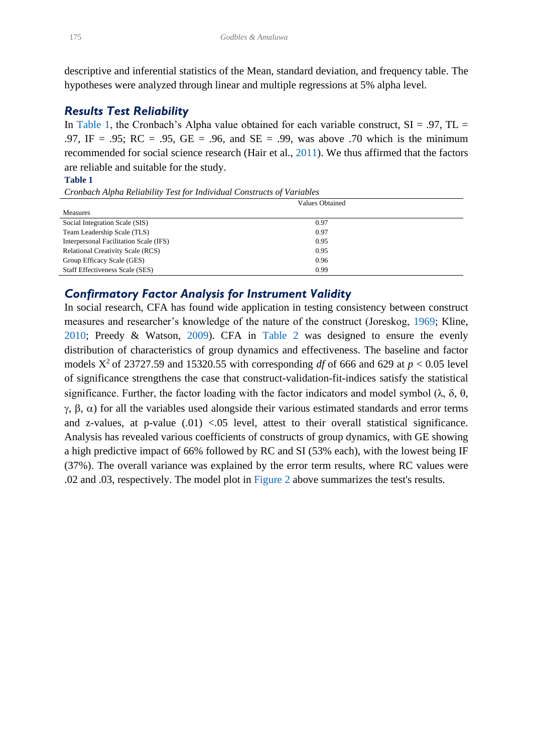descriptive and inferential statistics of the Mean, standard deviation, and frequency table. The hypotheses were analyzed through linear and multiple regressions at 5% alpha level.

### *Results Test Reliability*

In [Table 1,](#page-11-0) the Cronbach's Alpha value obtained for each variable construct,  $SI = .97$ ,  $TL =$ .97, IF = .95; RC = .95, GE = .96, and SE = .99, was above .70 which is the minimum recommended for social science research (Hair et al., [2011\)](#page-22-22). We thus affirmed that the factors are reliable and suitable for the study.

#### <span id="page-11-1"></span><span id="page-11-0"></span>**Table 1**

*Cronbach Alpha Reliability Test for Individual Constructs of Variables*

|                                          | Values Obtained |  |
|------------------------------------------|-----------------|--|
| <b>Measures</b>                          |                 |  |
| Social Integration Scale (SIS)           | 0.97            |  |
| Team Leadership Scale (TLS)              | 0.97            |  |
| Interpersonal Facilitation Scale (IFS)   | 0.95            |  |
| <b>Relational Creativity Scale (RCS)</b> | 0.95            |  |
| Group Efficacy Scale (GES)               | 0.96            |  |
| <b>Staff Effectiveness Scale (SES)</b>   | 0.99            |  |

# *Confirmatory Factor Analysis for Instrument Validity*

<span id="page-11-4"></span><span id="page-11-3"></span><span id="page-11-2"></span>In social research, CFA has found wide application in testing consistency between construct measures and researcher's knowledge of the nature of the construct (Joreskog, [1969;](#page-22-23) Kline, [2010;](#page-22-24) Preedy & Watson, [2009\)](#page-23-23). CFA in [Table 2](#page-12-0) was designed to ensure the evenly distribution of characteristics of group dynamics and effectiveness. The baseline and factor models  $X^2$  of 23727.59 and 15320.55 with corresponding *df* of 666 and 629 at  $p < 0.05$  level of significance strengthens the case that construct-validation-fit-indices satisfy the statistical significance. Further, the factor loading with the factor indicators and model symbol  $(\lambda, \delta, \theta, \phi)$  $\gamma$ ,  $\beta$ ,  $\alpha$ ) for all the variables used alongside their various estimated standards and error terms and z-values, at p-value  $(.01)$  <.05 level, attest to their overall statistical significance. Analysis has revealed various coefficients of constructs of group dynamics, with GE showing a high predictive impact of 66% followed by RC and SI (53% each), with the lowest being IF (37%). The overall variance was explained by the error term results, where RC values were .02 and .03, respectively. The model plot in [Figure 2](#page-13-0) above summarizes the test's results.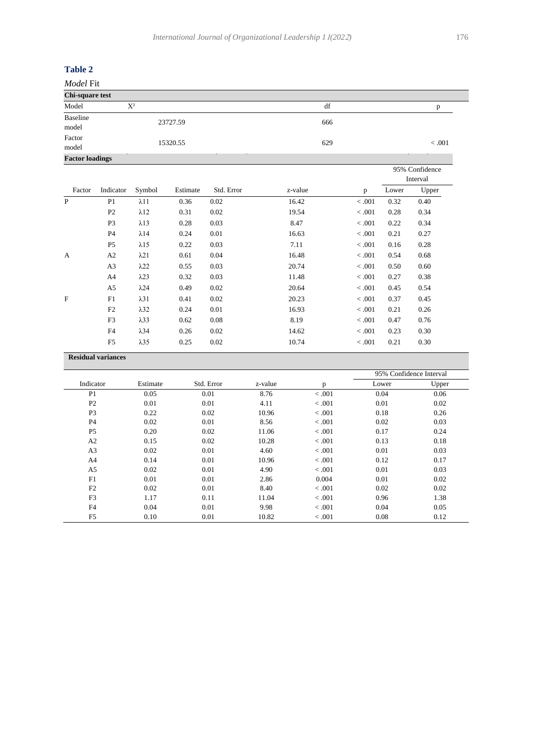### <span id="page-12-0"></span>**Table 2**

| Model Fit              |          |     |        |  |  |  |  |  |  |  |
|------------------------|----------|-----|--------|--|--|--|--|--|--|--|
| Chi-square test        |          |     |        |  |  |  |  |  |  |  |
| Model                  | $X^2$    | df  |        |  |  |  |  |  |  |  |
| Baseline<br>model      | 23727.59 | 666 |        |  |  |  |  |  |  |  |
| Factor<br>model        | 15320.55 | 629 | < .001 |  |  |  |  |  |  |  |
| <b>Factor loadings</b> |          |     |        |  |  |  |  |  |  |  |

|              |                |              |          |            |         |        |       | 95% Confidence<br>Interval |
|--------------|----------------|--------------|----------|------------|---------|--------|-------|----------------------------|
| Factor       | Indicator      | Symbol       | Estimate | Std. Error | z-value | p      | Lower | Upper                      |
| P            | P <sub>1</sub> | $\lambda$ 11 | 0.36     | 0.02       | 16.42   | < .001 | 0.32  | 0.40                       |
|              | P <sub>2</sub> | $\lambda$ 12 | 0.31     | 0.02       | 19.54   | < .001 | 0.28  | 0.34                       |
|              | P <sub>3</sub> | $\lambda$ 13 | 0.28     | 0.03       | 8.47    | < .001 | 0.22  | 0.34                       |
|              | P4             | $\lambda$ 14 | 0.24     | 0.01       | 16.63   | < .001 | 0.21  | 0.27                       |
|              | P <sub>5</sub> | $\lambda$ 15 | 0.22     | 0.03       | 7.11    | < .001 | 0.16  | 0.28                       |
| $\mathbf{A}$ | A2             | $\lambda$ 21 | 0.61     | 0.04       | 16.48   | < .001 | 0.54  | 0.68                       |
|              | A <sub>3</sub> | $\lambda$ 22 | 0.55     | 0.03       | 20.74   | < .001 | 0.50  | 0.60                       |
|              | A4             | $\lambda$ 23 | 0.32     | 0.03       | 11.48   | < .001 | 0.27  | 0.38                       |
|              | A5             | $\lambda$ 24 | 0.49     | 0.02       | 20.64   | < .001 | 0.45  | 0.54                       |
| F            | F1             | $\lambda$ 31 | 0.41     | 0.02       | 20.23   | < .001 | 0.37  | 0.45                       |
|              | F2             | $\lambda$ 32 | 0.24     | 0.01       | 16.93   | < .001 | 0.21  | 0.26                       |
|              | F <sub>3</sub> | $\lambda$ 33 | 0.62     | 0.08       | 8.19    | < .001 | 0.47  | 0.76                       |
|              | F4             | $\lambda$ 34 | 0.26     | 0.02       | 14.62   | < .001 | 0.23  | 0.30                       |
|              | F <sub>5</sub> | $\lambda$ 35 | 0.25     | 0.02       | 10.74   | < .001 | 0.21  | 0.30                       |
|              |                |              |          |            |         |        |       |                            |

#### **Residual variances**

|                |          |            |         |         | 95% Confidence Interval |       |  |
|----------------|----------|------------|---------|---------|-------------------------|-------|--|
| Indicator      | Estimate | Std. Error | z-value | p       | Lower                   | Upper |  |
| P <sub>1</sub> | 0.05     | 0.01       | 8.76    | < .001  | 0.04                    | 0.06  |  |
| P <sub>2</sub> | 0.01     | 0.01       | 4.11    | < .001  | 0.01                    | 0.02  |  |
| P <sub>3</sub> | 0.22     | 0.02       | 10.96   | < 0.001 | 0.18                    | 0.26  |  |
| <b>P4</b>      | 0.02     | 0.01       | 8.56    | < 0.001 | 0.02                    | 0.03  |  |
| P <sub>5</sub> | 0.20     | 0.02       | 11.06   | < 0.001 | 0.17                    | 0.24  |  |
| A <sub>2</sub> | 0.15     | 0.02       | 10.28   | < 0.001 | 0.13                    | 0.18  |  |
| A <sub>3</sub> | 0.02     | 0.01       | 4.60    | < 0.001 | 0.01                    | 0.03  |  |
| A <sup>4</sup> | 0.14     | 0.01       | 10.96   | < 0.001 | 0.12                    | 0.17  |  |
| A5             | 0.02     | 0.01       | 4.90    | < 0.001 | 0.01                    | 0.03  |  |
| F1             | 0.01     | 0.01       | 2.86    | 0.004   | 0.01                    | 0.02  |  |
| F2             | 0.02     | 0.01       | 8.40    | < 0.001 | 0.02                    | 0.02  |  |
| F <sub>3</sub> | 1.17     | 0.11       | 11.04   | < 0.001 | 0.96                    | 1.38  |  |
| F <sub>4</sub> | 0.04     | 0.01       | 9.98    | < 0.001 | 0.04                    | 0.05  |  |
| F <sub>5</sub> | 0.10     | 0.01       | 10.82   | < .001  | 0.08                    | 0.12  |  |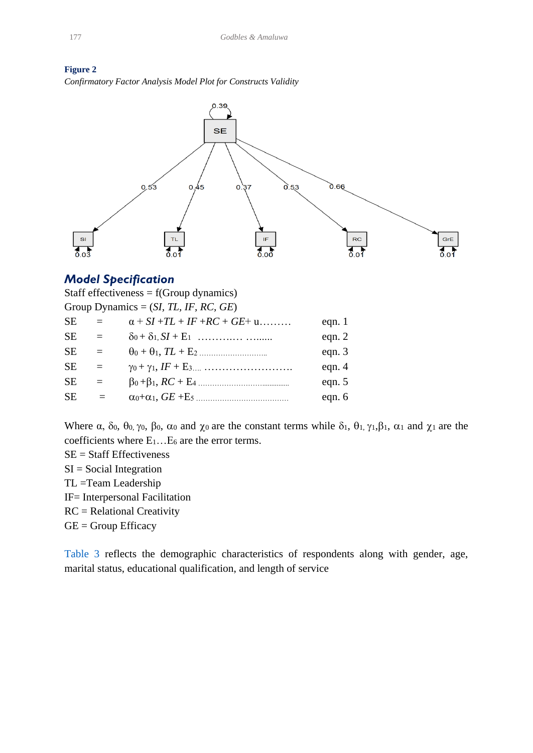<span id="page-13-0"></span>



# *Model Specification*

| Staff effectiveness = $f(Group \ dynamics)$ |          |                                                                             |          |  |  |  |  |  |  |  |
|---------------------------------------------|----------|-----------------------------------------------------------------------------|----------|--|--|--|--|--|--|--|
| Group Dynamics = $(SI, TL, IF, RC, GE)$     |          |                                                                             |          |  |  |  |  |  |  |  |
| <b>SE</b>                                   | $\equiv$ | $\alpha$ + SI +TL + IF +RC + GE+ u                                          | eqn. $1$ |  |  |  |  |  |  |  |
| <b>SE</b>                                   | $=$      |                                                                             | eqn. $2$ |  |  |  |  |  |  |  |
| <b>SE</b>                                   | $=$      |                                                                             | eqn. $3$ |  |  |  |  |  |  |  |
| <b>SE</b>                                   | $=$      | $\gamma_0 + \gamma_1, IF + E_{3} \dots \dots \dots \dots \dots \dots \dots$ | eqn. $4$ |  |  |  |  |  |  |  |
| <b>SE</b>                                   | $=$      |                                                                             | eqn. $5$ |  |  |  |  |  |  |  |
| <b>SE</b>                                   | $=$      |                                                                             | eqn. $6$ |  |  |  |  |  |  |  |
|                                             |          |                                                                             |          |  |  |  |  |  |  |  |

Where  $\alpha$ ,  $\delta$ <sub>0</sub>,  $\theta$ <sub>0</sub>,  $\gamma$ <sub>0</sub>,  $\beta$ <sub>0</sub>,  $\alpha$ <sub>0</sub> and  $\chi$ <sub>0</sub> are the constant terms while  $\delta$ <sub>1</sub>,  $\theta$ <sub>1</sub>,  $\gamma$ <sub>1</sub>, $\beta$ <sub>1</sub>,  $\alpha$ <sub>1</sub> and  $\chi$ <sub>1</sub> are the coefficients where E1…E<sup>6</sup> are the error terms.

- SE = Staff Effectiveness
- $SI = Social Integration$
- TL =Team Leadership
- IF= Interpersonal Facilitation
- RC = Relational Creativity
- GE = Group Efficacy

[Table 3](#page-14-0) reflects the demographic characteristics of respondents along with gender, age, marital status, educational qualification, and length of service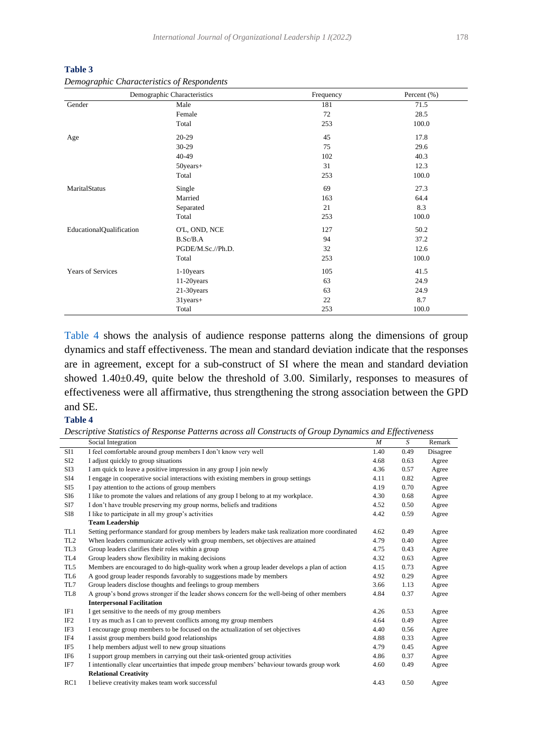|                                 | Demographic Characteristics | Frequency | Percent (%) |
|---------------------------------|-----------------------------|-----------|-------------|
| Gender                          | Male                        | 181       | 71.5        |
|                                 | Female                      | 72        | 28.5        |
|                                 | Total                       | 253       | 100.0       |
| Age                             | $20 - 29$                   | 45        | 17.8        |
|                                 | $30 - 29$                   | 75        | 29.6        |
|                                 | 40-49                       | 102       | 40.3        |
|                                 | 50years+                    | 31        | 12.3        |
|                                 | Total                       | 253       | 100.0       |
| MaritalStatus                   | Single                      | 69        | 27.3        |
|                                 | Married                     | 163       | 64.4        |
|                                 | Separated                   | 21        | 8.3         |
|                                 | Total                       | 253       | 100.0       |
| <b>EducationalQualification</b> | O'L, OND, NCE               | 127       | 50.2        |
|                                 | B.Sc/B.A                    | 94        | 37.2        |
|                                 | PGDE/M.Sc.//Ph.D.           | 32        | 12.6        |
|                                 | Total                       | 253       | 100.0       |
| <b>Years of Services</b>        | $1-10$ years                | 105       | 41.5        |
|                                 | 11-20years                  | 63        | 24.9        |
|                                 | 21-30years                  | 63        | 24.9        |
|                                 | $31$ years+                 | 22        | 8.7         |
|                                 | Total                       | 253       | 100.0       |

<span id="page-14-0"></span>**Table 3** *Demographic Characteristics of Respondents*

[Table 4](#page-14-1) shows the analysis of audience response patterns along the dimensions of group dynamics and staff effectiveness. The mean and standard deviation indicate that the responses are in agreement, except for a sub-construct of SI where the mean and standard deviation showed 1.40±0.49, quite below the threshold of 3.00. Similarly, responses to measures of effectiveness were all affirmative, thus strengthening the strong association between the GPD and SE.

#### <span id="page-14-1"></span>**Table 4**

|  |  |  |  | Descriptive Statistics of Response Patterns across all Constructs of Group Dynamics and Effectiveness |  |  |  |
|--|--|--|--|-------------------------------------------------------------------------------------------------------|--|--|--|
|  |  |  |  |                                                                                                       |  |  |  |

|                 | Social Integration                                                                               | M    | S    | Remark   |
|-----------------|--------------------------------------------------------------------------------------------------|------|------|----------|
| SI1             | I feel comfortable around group members I don't know very well                                   | 1.40 | 0.49 | Disagree |
| SI <sub>2</sub> | I adjust quickly to group situations                                                             | 4.68 | 0.63 | Agree    |
| SI <sub>3</sub> | I am quick to leave a positive impression in any group I join newly                              | 4.36 | 0.57 | Agree    |
| SI4             | I engage in cooperative social interactions with existing members in group settings              | 4.11 | 0.82 | Agree    |
| SI5             | I pay attention to the actions of group members                                                  | 4.19 | 0.70 | Agree    |
| SI6             | I like to promote the values and relations of any group I belong to at my workplace.             | 4.30 | 0.68 | Agree    |
| SI7             | I don't have trouble preserving my group norms, beliefs and traditions                           | 4.52 | 0.50 | Agree    |
| SI8             | I like to participate in all my group's activities                                               | 4.42 | 0.59 | Agree    |
|                 | <b>Team Leadership</b>                                                                           |      |      |          |
| TL1             | Setting performance standard for group members by leaders make task realization more coordinated | 4.62 | 0.49 | Agree    |
| TL <sub>2</sub> | When leaders communicate actively with group members, set objectives are attained                | 4.79 | 0.40 | Agree    |
| TL <sub>3</sub> | Group leaders clarifies their roles within a group                                               | 4.75 | 0.43 | Agree    |
| TL4             | Group leaders show flexibility in making decisions                                               | 4.32 | 0.63 | Agree    |
| TL5             | Members are encouraged to do high-quality work when a group leader develops a plan of action     | 4.15 | 0.73 | Agree    |
| TL6             | A good group leader responds favorably to suggestions made by members                            | 4.92 | 0.29 | Agree    |
| TL7             | Group leaders disclose thoughts and feelings to group members                                    | 3.66 | 1.13 | Agree    |
| TL <sub>8</sub> | A group's bond grows stronger if the leader shows concern for the well-being of other members    | 4.84 | 0.37 | Agree    |
|                 | <b>Interpersonal Facilitation</b>                                                                |      |      |          |
| IF1             | I get sensitive to the needs of my group members                                                 | 4.26 | 0.53 | Agree    |
| IF <sub>2</sub> | I try as much as I can to prevent conflicts among my group members                               | 4.64 | 0.49 | Agree    |
| IF3             | I encourage group members to be focused on the actualization of set objectives                   | 4.40 | 0.56 | Agree    |
| IF4             | I assist group members build good relationships                                                  | 4.88 | 0.33 | Agree    |
| IF <sub>5</sub> | I help members adjust well to new group situations                                               | 4.79 | 0.45 | Agree    |
| IF <sub>6</sub> | I support group members in carrying out their task-oriented group activities                     | 4.86 | 0.37 | Agree    |
| IF7             | I intentionally clear uncertainties that impede group members' behaviour towards group work      | 4.60 | 0.49 | Agree    |
|                 | <b>Relational Creativity</b>                                                                     |      |      |          |
| RC1             | I believe creativity makes team work successful                                                  | 4.43 | 0.50 | Agree    |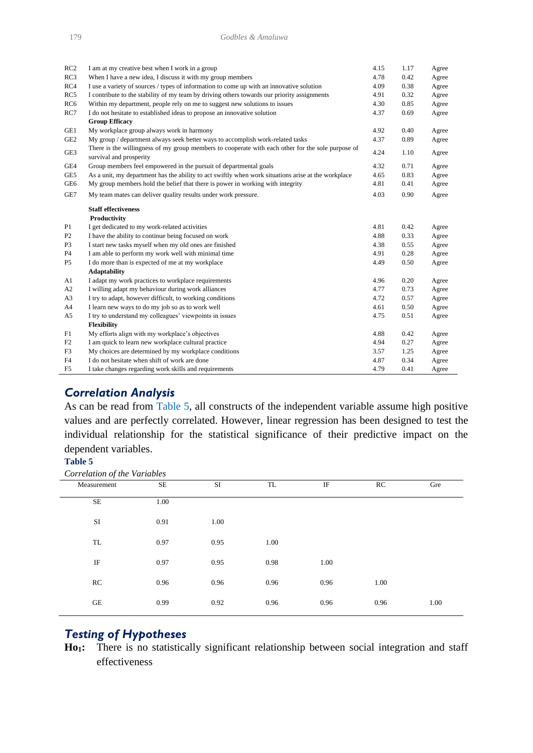| RC2             | I am at my creative best when I work in a group                                                                              | 4.15 | 1.17 | Agree |
|-----------------|------------------------------------------------------------------------------------------------------------------------------|------|------|-------|
| RC3             | When I have a new idea, I discuss it with my group members                                                                   | 4.78 | 0.42 | Agree |
| RC4             | I use a variety of sources / types of information to come up with an innovative solution                                     | 4.09 | 0.38 | Agree |
| RC5             | I contribute to the stability of my team by driving others towards our priority assignments                                  | 4.91 | 0.32 | Agree |
| RC <sub>6</sub> | Within my department, people rely on me to suggest new solutions to issues                                                   | 4.30 | 0.85 | Agree |
| RC7             | I do not hesitate to established ideas to propose an innovative solution                                                     | 4.37 | 0.69 | Agree |
|                 | <b>Group Efficacy</b>                                                                                                        |      |      |       |
| GE1             | My workplace group always work in harmony                                                                                    | 4.92 | 0.40 | Agree |
| GE <sub>2</sub> | My group / department always seek better ways to accomplish work-related tasks                                               | 4.37 | 0.89 | Agree |
| GE3             | There is the willingness of my group members to cooperate with each other for the sole purpose of<br>survival and prosperity | 4.24 | 1.10 | Agree |
| GE4             | Group members feel empowered in the pursuit of departmental goals                                                            | 4.32 | 0.71 | Agree |
| GE5             | As a unit, my department has the ability to act swiftly when work situations arise at the workplace                          | 4.65 | 0.83 | Agree |
| GE6             | My group members hold the belief that there is power in working with integrity                                               | 4.81 | 0.41 | Agree |
| GE7             | My team mates can deliver quality results under work pressure.                                                               | 4.03 | 0.90 | Agree |
|                 | <b>Staff effectiveness</b><br>Productivity                                                                                   |      |      |       |
| P <sub>1</sub>  | I get dedicated to my work-related activities                                                                                | 4.81 | 0.42 | Agree |
| P <sub>2</sub>  | I have the ability to continue being focused on work                                                                         | 4.88 | 0.33 | Agree |
| P <sub>3</sub>  | I start new tasks myself when my old ones are finished                                                                       | 4.38 | 0.55 | Agree |
| <b>P4</b>       | I am able to perform my work well with minimal time                                                                          | 4.91 | 0.28 | Agree |
| P <sub>5</sub>  | I do more than is expected of me at my workplace                                                                             | 4.49 | 0.50 | Agree |
|                 | <b>Adaptability</b>                                                                                                          |      |      |       |
| A1              | I adapt my work practices to workplace requirements                                                                          | 4.96 | 0.20 | Agree |
| A2              | I willing adapt my behaviour during work alliances                                                                           | 4.77 | 0.73 | Agree |
| A <sub>3</sub>  | I try to adapt, however difficult, to working conditions                                                                     | 4.72 | 0.57 | Agree |
| A <sup>4</sup>  | I learn new ways to do my job so as to work well                                                                             | 4.61 | 0.50 | Agree |
| A5              | I try to understand my colleagues' viewpoints in issues                                                                      | 4.75 | 0.51 | Agree |
|                 | Flexibility                                                                                                                  |      |      |       |
| F1              | My efforts align with my workplace's objectives                                                                              | 4.88 | 0.42 | Agree |
| F2              | I am quick to learn new workplace cultural practice                                                                          | 4.94 | 0.27 | Agree |
| F3              | My choices are determined by my workplace conditions                                                                         | 3.57 | 1.25 | Agree |
| F4              | I do not hesitate when shift of work are done                                                                                | 4.87 | 0.34 | Agree |
| F <sub>5</sub>  | I take changes regarding work skills and requirements                                                                        | 4.79 | 0.41 | Agree |

# *Correlation Analysis*

As can be read from [Table 5,](#page-15-0) all constructs of the independent variable assume high positive values and are perfectly correlated. However, linear regression has been designed to test the individual relationship for the statistical significance of their predictive impact on the dependent variables.

### <span id="page-15-0"></span>**Table 5**

| Measurement | SE   | SI   | TL   | $_{\rm IF}$ | RC   | Gre  |
|-------------|------|------|------|-------------|------|------|
| $\rm SE$    | 1.00 |      |      |             |      |      |
| SI          | 0.91 | 1.00 |      |             |      |      |
| TL          | 0.97 | 0.95 | 1.00 |             |      |      |
| IF          | 0.97 | 0.95 | 0.98 | 1.00        |      |      |
| RC          | 0.96 | 0.96 | 0.96 | 0.96        | 1.00 |      |
| GE          | 0.99 | 0.92 | 0.96 | 0.96        | 0.96 | 1.00 |
|             |      |      |      |             |      |      |

# *Testing of Hypotheses*

**Ho1:** There is no statistically significant relationship between social integration and staff effectiveness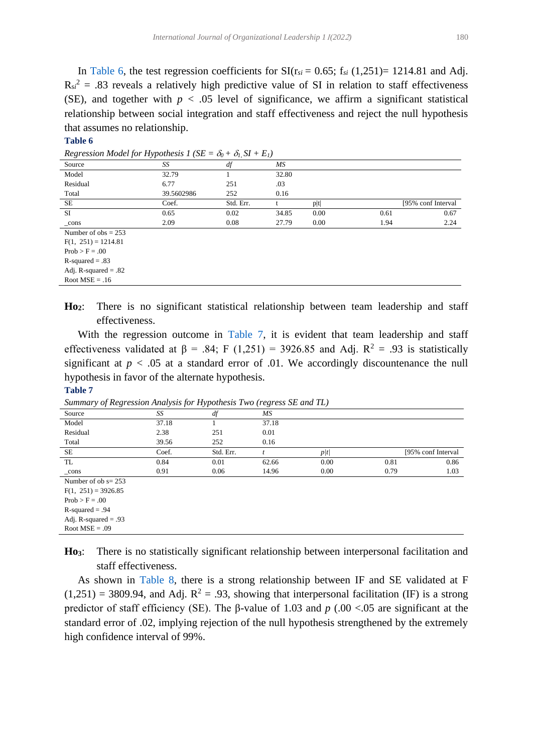In [Table 6,](#page-16-0) the test regression coefficients for  $SI(r_{si} = 0.65; f_{si} (1,251) = 1214.81$  and Adj.  $R_{si}^2 = .83$  reveals a relatively high predictive value of SI in relation to staff effectiveness (SE), and together with  $p < .05$  level of significance, we affirm a significant statistical relationship between social integration and staff effectiveness and reject the null hypothesis that assumes no relationship.

#### <span id="page-16-0"></span>**Table 6**

| 1.68<br>$v_0$ . $v_1$ , $v_2$ . $v_1$ |            |           |       |      |      |                     |  |  |  |
|---------------------------------------|------------|-----------|-------|------|------|---------------------|--|--|--|
| Source                                | SS         | df        | МS    |      |      |                     |  |  |  |
| Model                                 | 32.79      |           | 32.80 |      |      |                     |  |  |  |
| Residual                              | 6.77       | 251       | .03   |      |      |                     |  |  |  |
| Total                                 | 39.5602986 | 252       | 0.16  |      |      |                     |  |  |  |
| SE                                    | Coef.      | Std. Err. |       | p t  |      | [95% conf Interval] |  |  |  |
| <b>SI</b>                             | 0.65       | 0.02      | 34.85 | 0.00 | 0.61 | 0.67                |  |  |  |
| $_{\rm cons}$                         | 2.09       | 0.08      | 27.79 | 0.00 | 1.94 | 2.24                |  |  |  |
| Number of $obs = 253$                 |            |           |       |      |      |                     |  |  |  |
| $F(1, 251) = 1214.81$                 |            |           |       |      |      |                     |  |  |  |
| $Prob > F = .00$                      |            |           |       |      |      |                     |  |  |  |
| $R$ -squared = .83                    |            |           |       |      |      |                     |  |  |  |
| Adj. R-squared $= .82$                |            |           |       |      |      |                     |  |  |  |

*Regression Model for Hypothesis 1 (SE =*  $\delta_0 + \delta_1 S I + E_1$ *)* 

**Ho2**: There is no significant statistical relationship between team leadership and staff effectiveness.

 With the regression outcome in [Table 7,](#page-16-1) it is evident that team leadership and staff effectiveness validated at  $\beta$  = .84; F (1,251) = 3926.85 and Adj. R<sup>2</sup> = .93 is statistically significant at  $p < .05$  at a standard error of .01. We accordingly discountenance the null hypothesis in favor of the alternate hypothesis.

#### <span id="page-16-1"></span>**Table 7**

Root  $MSE = .09$ 

Root  $MSE = .16$ 

| $\sim$ $\sim$<br>$\cdot$ | $\sim$<br>$\cdot$ | $\overline{ }$ | $\cdot$ |      |      |                     |
|--------------------------|-------------------|----------------|---------|------|------|---------------------|
| Source                   | SS                | df             | ΜS      |      |      |                     |
| Model                    | 37.18             |                | 37.18   |      |      |                     |
| Residual                 | 2.38              | 251            | 0.01    |      |      |                     |
| Total                    | 39.56             | 252            | 0.16    |      |      |                     |
| SE                       | Coef.             | Std. Err.      |         | p/t/ |      | [95% conf Interval] |
| TL                       | 0.84              | 0.01           | 62.66   | 0.00 | 0.81 | 0.86                |
| $_{\rm cons}$            | 0.91              | 0.06           | 14.96   | 0.00 | 0.79 | 1.03                |
| Number of $ob = 253$     |                   |                |         |      |      |                     |
| $F(1, 251) = 3926.85$    |                   |                |         |      |      |                     |
| $Prob > F = .00$         |                   |                |         |      |      |                     |
| $R$ -squared = .94       |                   |                |         |      |      |                     |
| Adj. R-squared $= .93$   |                   |                |         |      |      |                     |

*Summary of Regression Analysis for Hypothesis Two (regress SE and TL)*

**Ho3**: There is no statistically significant relationship between interpersonal facilitation and staff effectiveness.

 As shown in [Table 8,](#page-17-0) there is a strong relationship between IF and SE validated at F  $(1,251) = 3809.94$ , and Adj.  $R^2 = .93$ , showing that interpersonal facilitation (IF) is a strong predictor of staff efficiency (SE). The β-value of 1.03 and *p* (.00 <.05 are significant at the standard error of .02, implying rejection of the null hypothesis strengthened by the extremely high confidence interval of 99%.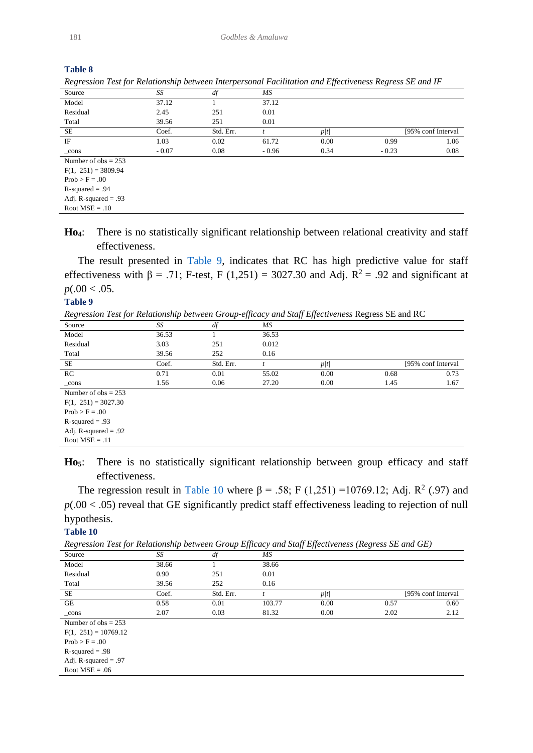| кезгезмон тем јог кешионыпр бенчеен пиетретмонагтасинанон ана едјеситенезг кезгезз де ана тг |         |           |         |      |         |                     |
|----------------------------------------------------------------------------------------------|---------|-----------|---------|------|---------|---------------------|
| Source                                                                                       | SS      | df        | МS      |      |         |                     |
| Model                                                                                        | 37.12   |           | 37.12   |      |         |                     |
| Residual                                                                                     | 2.45    | 251       | 0.01    |      |         |                     |
| Total                                                                                        | 39.56   | 251       | 0.01    |      |         |                     |
| SE.                                                                                          | Coef.   | Std. Err. |         | p/t/ |         | [95% conf Interval] |
| IF                                                                                           | 1.03    | 0.02      | 61.72   | 0.00 | 0.99    | 1.06                |
| $_{\rm cons}$                                                                                | $-0.07$ | 0.08      | $-0.96$ | 0.34 | $-0.23$ | 0.08                |
| Number of $obs = 253$                                                                        |         |           |         |      |         |                     |
| $F(1, 251) = 3809.94$                                                                        |         |           |         |      |         |                     |
| $Prob > F = .00$                                                                             |         |           |         |      |         |                     |
| $R$ -squared = .94                                                                           |         |           |         |      |         |                     |
| Adj. R-squared $= .93$                                                                       |         |           |         |      |         |                     |
| Root $MSE = .10$                                                                             |         |           |         |      |         |                     |

|  |  | Regression Test for Relationship between Interpersonal Facilitation and Effectiveness Regress SE and IF |  |  |
|--|--|---------------------------------------------------------------------------------------------------------|--|--|
|  |  |                                                                                                         |  |  |
|  |  |                                                                                                         |  |  |

**Ho4**: There is no statistically significant relationship between relational creativity and staff effectiveness.

 The result presented in [Table 9,](#page-17-1) indicates that RC has high predictive value for staff effectiveness with  $\beta$  = .71; F-test, F (1,251) = 3027.30 and Adj. R<sup>2</sup> = .92 and significant at  $p(.00 < .05$ .

#### <span id="page-17-1"></span>**Table 9**

*Regression Test for Relationship between Group-efficacy and Staff Effectiveness* Regress SE and RC

|                        | ---- <i>-------</i> |           |       |      |      |                     |
|------------------------|---------------------|-----------|-------|------|------|---------------------|
| Source                 | SS                  | df        | МS    |      |      |                     |
| Model                  | 36.53               |           | 36.53 |      |      |                     |
| Residual               | 3.03                | 251       | 0.012 |      |      |                     |
| Total                  | 39.56               | 252       | 0.16  |      |      |                     |
| SE                     | Coef.               | Std. Err. |       | p/t/ |      | [95% conf Interval] |
| RC                     | 0.71                | 0.01      | 55.02 | 0.00 | 0.68 | 0.73                |
| $_{\rm cons}$          | 1.56                | 0.06      | 27.20 | 0.00 | 1.45 | 1.67                |
| Number of $obs = 253$  |                     |           |       |      |      |                     |
| $F(1, 251) = 3027.30$  |                     |           |       |      |      |                     |
| $Prob > F = .00$       |                     |           |       |      |      |                     |
| $R$ -squared = .93     |                     |           |       |      |      |                     |
| Adj. R-squared $= .92$ |                     |           |       |      |      |                     |
| Root $MSE = .11$       |                     |           |       |      |      |                     |

**Ho5**: There is no statistically significant relationship between group efficacy and staff effectiveness.

The regression result in [Table 10](#page-17-2) where β = .58; F (1,251) = 10769.12; Adj. R<sup>2</sup> (.97) and  $p(.00 < .05)$  reveal that GE significantly predict staff effectiveness leading to rejection of null hypothesis.

#### <span id="page-17-2"></span>**Table 10**

*Regression Test for Relationship between Group Efficacy and Staff Effectiveness (Regress SE and GE)*

| $\cdots$<br>.          |       |           |        | $\overline{J}$ , $\overline{J}$ , $\overline{J}$ , $\overline{J}$ , $\overline{J}$ , $\overline{J}$ , $\overline{J}$ , $\overline{J}$ , $\overline{J}$ , $\overline{J}$ , $\overline{J}$ , $\overline{J}$ , $\overline{J}$ , $\overline{J}$ , $\overline{J}$ , $\overline{J}$ , $\overline{J}$ , $\overline{J}$ , $\overline{J}$ , $\overline{J}$ , $\overline{J}$ , $\overline{J}$ , | $\cdot$ |                     |
|------------------------|-------|-----------|--------|---------------------------------------------------------------------------------------------------------------------------------------------------------------------------------------------------------------------------------------------------------------------------------------------------------------------------------------------------------------------------------------|---------|---------------------|
| Source                 | SS    | df        | МS     |                                                                                                                                                                                                                                                                                                                                                                                       |         |                     |
| Model                  | 38.66 |           | 38.66  |                                                                                                                                                                                                                                                                                                                                                                                       |         |                     |
| Residual               | 0.90  | 251       | 0.01   |                                                                                                                                                                                                                                                                                                                                                                                       |         |                     |
| Total                  | 39.56 | 252       | 0.16   |                                                                                                                                                                                                                                                                                                                                                                                       |         |                     |
| SE                     | Coef. | Std. Err. |        | p/t/                                                                                                                                                                                                                                                                                                                                                                                  |         | [95% conf Interval] |
| GE                     | 0.58  | 0.01      | 103.77 | 0.00                                                                                                                                                                                                                                                                                                                                                                                  | 0.57    | 0.60                |
| $_{\rm cons}$          | 2.07  | 0.03      | 81.32  | 0.00                                                                                                                                                                                                                                                                                                                                                                                  | 2.02    | 2.12                |
| Number of $obs = 253$  |       |           |        |                                                                                                                                                                                                                                                                                                                                                                                       |         |                     |
| $F(1, 251) = 10769.12$ |       |           |        |                                                                                                                                                                                                                                                                                                                                                                                       |         |                     |
| $Prob > F = .00$       |       |           |        |                                                                                                                                                                                                                                                                                                                                                                                       |         |                     |
| $R$ -squared = .98     |       |           |        |                                                                                                                                                                                                                                                                                                                                                                                       |         |                     |
| Adj. R-squared $= .97$ |       |           |        |                                                                                                                                                                                                                                                                                                                                                                                       |         |                     |
| Root $MSE = .06$       |       |           |        |                                                                                                                                                                                                                                                                                                                                                                                       |         |                     |
|                        |       |           |        |                                                                                                                                                                                                                                                                                                                                                                                       |         |                     |

<span id="page-17-0"></span>**Table 8**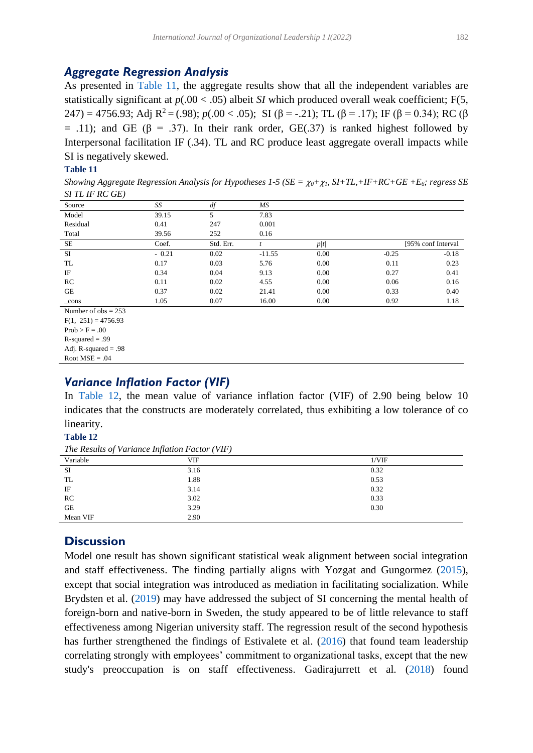# *Aggregate Regression Analysis*

As presented in [Table 11,](#page-18-0) the aggregate results show that all the independent variables are statistically significant at *p*(.00 < .05) albeit *SI* which produced overall weak coefficient; F(5, 247) = 4756.93; Adj  $R^2 = (.98)$ ; *p*( $.00 < .05$ ); SI ( $\beta = -.21$ ); TL ( $\beta = .17$ ); IF ( $\beta = 0.34$ ); RC ( $\beta$  $=$  .11); and GE (β = .37). In their rank order, GE(.37) is ranked highest followed by Interpersonal facilitation IF (.34). TL and RC produce least aggregate overall impacts while SI is negatively skewed.

#### <span id="page-18-0"></span>**Table 11**

*Showing Aggregate Regression Analysis for Hypotheses 1-5 (* $SE = \chi_0 + \chi_1$ *,*  $S I + TL + IF + RC + GE + E_6$ *<i>; regress* SE *SI TL IF RC GE)*

| Source                | SS      | df        | МS       |      |                     |
|-----------------------|---------|-----------|----------|------|---------------------|
| Model                 | 39.15   |           | 7.83     |      |                     |
| Residual              | 0.41    | 247       | 0.001    |      |                     |
| Total                 | 39.56   | 252       | 0.16     |      |                     |
| <b>SE</b>             | Coef.   | Std. Err. |          | p/t/ | [95% conf Interval] |
| <b>SI</b>             | $-0.21$ | 0.02      | $-11.55$ | 0.00 | $-0.18$<br>$-0.25$  |
| TL                    | 0.17    | 0.03      | 5.76     | 0.00 | 0.23<br>0.11        |
| IF                    | 0.34    | 0.04      | 9.13     | 0.00 | 0.27<br>0.41        |
| RC                    | 0.11    | 0.02      | 4.55     | 0.00 | 0.06<br>0.16        |
| GE                    | 0.37    | 0.02      | 21.41    | 0.00 | 0.33<br>0.40        |
| _cons                 | 1.05    | 0.07      | 16.00    | 0.00 | 0.92<br>1.18        |
| Number of $obs = 253$ |         |           |          |      |                     |

 $F(1, 251) = 4756.93$ 

 $Prob > F = .00$ 

 $R$ -squared  $= .99$ 

Adj. R-squared  $= .98$ Root  $MSE = .04$ 

# *Variance Inflation Factor (VIF)*

In [Table 12,](#page-18-1) the mean value of variance inflation factor (VIF) of 2.90 being below 10 indicates that the constructs are moderately correlated, thus exhibiting a low tolerance of co linearity.

#### <span id="page-18-1"></span>**Table 12**

*The Results of Variance Inflation Factor (VIF)*

| Variable  | VIF  | 1/VIF |
|-----------|------|-------|
| SI        | 3.16 | 0.32  |
| TL        | 1.88 | 0.53  |
| IF        | 3.14 | 0.32  |
| RC        | 3.02 | 0.33  |
| <b>GE</b> | 3.29 | 0.30  |
| Mean VIF  | 2.90 |       |

# **Discussion**

<span id="page-18-2"></span>Model one result has shown significant statistical weak alignment between social integration and staff effectiveness. The finding partially aligns with Yozgat and Gungormez [\(2015\)](#page-24-1), except that social integration was introduced as mediation in facilitating socialization. While Brydsten et al. [\(2019\)](#page-21-24) may have addressed the subject of SI concerning the mental health of foreign-born and native-born in Sweden, the study appeared to be of little relevance to staff effectiveness among Nigerian university staff. The regression result of the second hypothesis has further strengthened the findings of Estivalete et al. [\(2016\)](#page-21-21) that found team leadership correlating strongly with employees' commitment to organizational tasks, except that the new study's preoccupation is on staff effectiveness. Gadirajurrett et al. [\(2018\)](#page-22-18) found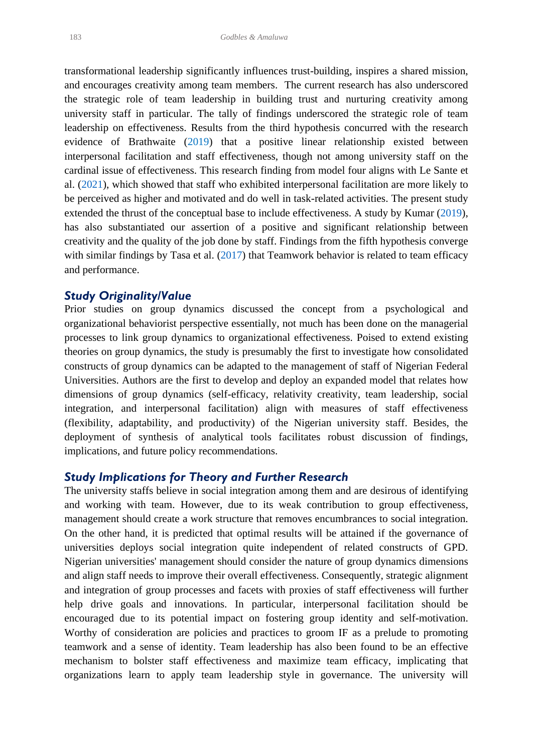transformational leadership significantly influences trust-building, inspires a shared mission, and encourages creativity among team members. The current research has also underscored the strategic role of team leadership in building trust and nurturing creativity among university staff in particular. The tally of findings underscored the strategic role of team leadership on effectiveness. Results from the third hypothesis concurred with the research evidence of Brathwaite (2019) that a positive linear relationship existed between interpersonal facilitation and staff effectiveness, though not among university staff on the cardinal issue of effectiveness. This research finding from model four aligns with Le Sante et al. [\(2021\)](#page-22-20), which showed that staff who exhibited interpersonal facilitation are more likely to be perceived as higher and motivated and do well in task-related activities. The present study extended the thrust of the conceptual base to include effectiveness. A study by Kumar [\(2019\)](#page-22-25), has also substantiated our assertion of a positive and significant relationship between creativity and the quality of the job done by staff. Findings from the fifth hypothesis converge with similar findings by Tasa et al. [\(2017\)](#page-23-24) that Teamwork behavior is related to team efficacy and performance.

### <span id="page-19-1"></span><span id="page-19-0"></span>*Study Originality/Value*

Prior studies on group dynamics discussed the concept from a psychological and organizational behaviorist perspective essentially, not much has been done on the managerial processes to link group dynamics to organizational effectiveness. Poised to extend existing theories on group dynamics, the study is presumably the first to investigate how consolidated constructs of group dynamics can be adapted to the management of staff of Nigerian Federal Universities. Authors are the first to develop and deploy an expanded model that relates how dimensions of group dynamics (self-efficacy, relativity creativity, team leadership, social integration, and interpersonal facilitation) align with measures of staff effectiveness (flexibility, adaptability, and productivity) of the Nigerian university staff. Besides, the deployment of synthesis of analytical tools facilitates robust discussion of findings, implications, and future policy recommendations.

### *Study Implications for Theory and Further Research*

The university staffs believe in social integration among them and are desirous of identifying and working with team. However, due to its weak contribution to group effectiveness, management should create a work structure that removes encumbrances to social integration. On the other hand, it is predicted that optimal results will be attained if the governance of universities deploys social integration quite independent of related constructs of GPD. Nigerian universities' management should consider the nature of group dynamics dimensions and align staff needs to improve their overall effectiveness. Consequently, strategic alignment and integration of group processes and facets with proxies of staff effectiveness will further help drive goals and innovations. In particular, interpersonal facilitation should be encouraged due to its potential impact on fostering group identity and self-motivation. Worthy of consideration are policies and practices to groom IF as a prelude to promoting teamwork and a sense of identity. Team leadership has also been found to be an effective mechanism to bolster staff effectiveness and maximize team efficacy, implicating that organizations learn to apply team leadership style in governance. The university will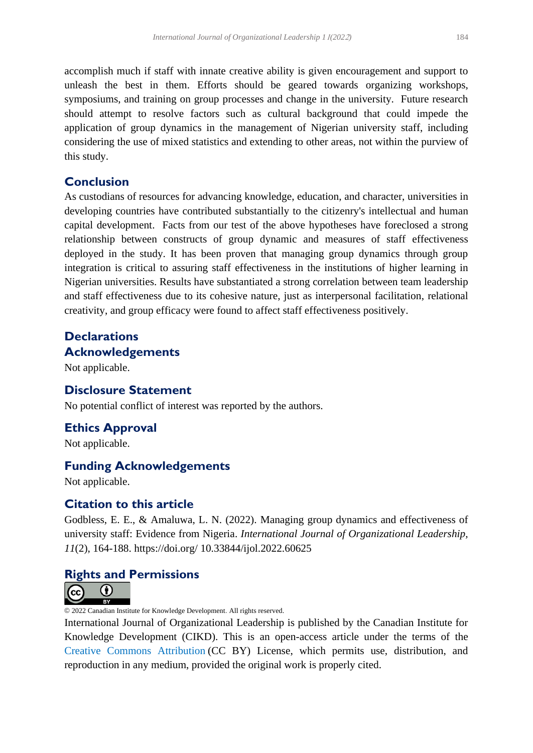accomplish much if staff with innate creative ability is given encouragement and support to unleash the best in them. Efforts should be geared towards organizing workshops, symposiums, and training on group processes and change in the university. Future research should attempt to resolve factors such as cultural background that could impede the application of group dynamics in the management of Nigerian university staff, including considering the use of mixed statistics and extending to other areas, not within the purview of this study.

# **Conclusion**

As custodians of resources for advancing knowledge, education, and character, universities in developing countries have contributed substantially to the citizenry's intellectual and human capital development. Facts from our test of the above hypotheses have foreclosed a strong relationship between constructs of group dynamic and measures of staff effectiveness deployed in the study. It has been proven that managing group dynamics through group integration is critical to assuring staff effectiveness in the institutions of higher learning in Nigerian universities. Results have substantiated a strong correlation between team leadership and staff effectiveness due to its cohesive nature, just as interpersonal facilitation, relational creativity, and group efficacy were found to affect staff effectiveness positively.

# **Declarations Acknowledgements**

Not applicable.

# **Disclosure Statement**

No potential conflict of interest was reported by the authors.

# **Ethics Approval**

Not applicable.

# **Funding Acknowledgements**

Not applicable.

# **Citation to this article**

Godbless, E. E., & Amaluwa, L. N. (2022). Managing group dynamics and effectiveness of university staff: Evidence from Nigeria. *International Journal of Organizational Leadership, 11*(2), 164-188. https://doi.org/ 10.33844/ijol.2022.60625

# **Rights and Permissions**



© 2022 Canadian Institute for Knowledge Development. All rights reserved.

International Journal of Organizational Leadership is published by the Canadian Institute for Knowledge Development (CIKD). This is an open-access article under the terms of the [Creative Commons Attribution](https://creativecommons.org/licenses/by/4.0/) (CC BY) License, which permits use, distribution, and reproduction in any medium, provided the original work is properly cited.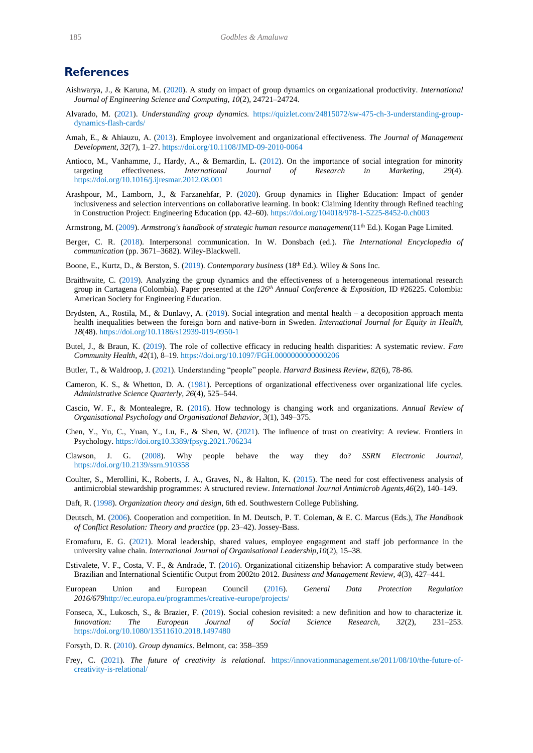### **References**

- <span id="page-21-2"></span>Aishwarya, J., & Karuna, M. [\(2020\)](#page-1-0). A study on impact of group dynamics on organizational productivity. *International Journal of Engineering Science and Computing*, *10*(2), 24721–24724.
- <span id="page-21-7"></span>Alvarado, M. [\(2021\)](#page-3-0). *Understanding group dynamics.* [https://quizlet.com/24815072/sw-475-ch-3-understanding-group](https://quizlet.com/24815072/sw-475-ch-3-understanding-group-dynamics-flash-cards/)[dynamics-flash-cards/](https://quizlet.com/24815072/sw-475-ch-3-understanding-group-dynamics-flash-cards/)
- <span id="page-21-18"></span>Amah, E., & Ahiauzu, A. [\(2013\)](#page-6-0). Employee involvement and organizational effectiveness. *The Journal of Management Development, 32*(7), 1–27[. https://doi.org/10.1108/JMD-09-2010-0064](https://doi.org/10.1108/JMD-09-2010-0064)
- <span id="page-21-20"></span>Antioco, M., Vanhamme, J., Hardy, A., & Bernardin, L. [\(2012\)](#page-7-0). On the importance of social integration for minority targeting effectiveness. *International Journal of Research in Marketing*, *29*(4). <https://doi.org/10.1016/j.ijresmar.2012.08.001>
- <span id="page-21-0"></span>Arashpour, M., Lamborn, J., & Farzanehfar, P. [\(2020\)](#page-1-1). Group dynamics in Higher Education: Impact of gender inclusiveness and selection interventions on collaborative learning. In book: Claiming Identity through Refined teaching in Construction Project: Engineering Education (pp. 42–60)[. https://doi.org/104018/978-1-5225-8452-0.ch003](https://doi.org/104018/978-1-5225-8452-0.ch003)
- <span id="page-21-16"></span>Armstrong, M. [\(2009\)](#page-6-1). *Armstrong's handbook of strategic human resource management*(11<sup>th</sup> Ed.). Kogan Page Limited.
- <span id="page-21-9"></span>Berger, C. R. [\(2018\)](#page-5-0). Interpersonal communication. In W. Donsbach (ed.). *The International Encyclopedia of communication* (pp. 3671–3682)*.* Wiley-Blackwell.
- <span id="page-21-14"></span>Boone, E., Kurtz, D., & Berston, S. [\(2019\)](#page-6-2). *Contemporary business* (18th Ed.)*.* Wiley & Sons Inc.
- <span id="page-21-22"></span>Braithwaite, C. [\(2019\)](#page-7-1). Analyzing the group dynamics and the effectiveness of a heterogeneous international research group in Cartagena (Colombia). Paper presented at the *126th Annual Conference & Exposition,* ID #26225. Colombia: American Society for Engineering Education.
- <span id="page-21-24"></span>Brydsten, A., Rostila, M., & Dunlavy, A. [\(2019\)](#page-18-2). Social integration and mental health – a decoposition approach menta health inequalities between the foreign born and native-born in Sweden. *International Journal for Equity in Health, 18*(48). <https://doi.org/10.1186/s12939-019-0950-1>
- <span id="page-21-12"></span>Butel, J., & Braun, K. [\(2019\)](#page-5-1). The role of collective efficacy in reducing health disparities: A systematic review. *Fam Community Health*, *42*(1), 8–19.<https://doi.org/10.1097/FGH.0000000000000206>
- <span id="page-21-6"></span>Butler, T., & Waldroop, J. [\(2021\)](#page-3-1). Understanding "people" people. *Harvard Business Review, 82*(6), 78-86.
- <span id="page-21-19"></span>Cameron, K. S., & Whetton, D. A. [\(1981\)](#page-6-3). Perceptions of organizational effectiveness over organizational life cycles. *Administrative Science Quarterly, 26*(4), 525–544.
- <span id="page-21-1"></span>Cascio, W. F., & Montealegre, R. [\(2016\)](#page-1-2). How technology is changing work and organizations. *Annual Review of Organisational Psychology and Organisational Behavior*, *3*(1), 349–375.
- <span id="page-21-23"></span>Chen, Y., Yu, C., Yuan, Y., Lu, F., & Shen, W. [\(2021\)](#page-9-0). The influence of trust on creativity: A review. Frontiers in Psychology[. https://doi.org10.3389/fpsyg.2021.706234](https://doi.org10.3389/fpsyg.2021.706234)
- <span id="page-21-3"></span>Clawson, J. G. [\(2008\)](#page-1-3). Why people behave the way they do? *SSRN Electronic Journal*, <https://doi.org/10.2139/ssrn.910358>
- <span id="page-21-15"></span>Coulter, S., Merollini, K., Roberts, J. A., Graves, N., & Halton, K. [\(2015\)](#page-6-4). The need for cost effectiveness analysis of antimicrobial stewardship programmes: A structured review. *International Journal Antimicrob Agents,46*(2), 140–149.
- <span id="page-21-17"></span>Daft, R. [\(1998\)](#page-6-5). *Organization theory and design*, 6th ed. Southwestern College Publishing.
- <span id="page-21-4"></span>Deutsch, M. [\(2006\)](#page-2-0). Cooperation and competition. In M. Deutsch, P. T. Coleman, & E. C. Marcus (Eds.), *The Handbook of Conflict Resolution: Theory and practice* (pp. 23–42). Jossey-Bass.
- <span id="page-21-8"></span>Eromafuru, E. G. [\(2021\)](#page-4-0). Moral leadership, shared values, employee engagement and staff job performance in the university value chain. *International Journal of Organisational Leadership,10*(2), 15–38.
- <span id="page-21-21"></span>Estivalete, V. F., Costa, V. F., & Andrade, T. [\(2016\)](#page-7-2). Organizational citizenship behavior: A comparative study between Brazilian and International Scientific Output from 2002to 2012. *Business and Management Review, 4*(3), 427–441.
- <span id="page-21-10"></span>European Union and European Council [\(2016\)](#page-5-2). *General Data Protection Regulation 2016/679*<http://ec.europa.eu/programmes/creative-europe/projects/>
- <span id="page-21-13"></span>Fonseca, X., Lukosch, S., & Brazier, F. [\(2019\)](#page-6-6). Social cohesion revisited: a new definition and how to characterize it. *Innovation: The European Journal of Social Science Research, 32*(2), 231–253. <https://doi.org/10.1080/13511610.2018.1497480>
- <span id="page-21-5"></span>Forsyth, D. R. [\(2010\)](#page-3-2). *Group dynamics*. Belmont, ca: 358–359
- <span id="page-21-11"></span>Frey, C. [\(2021\)](#page-5-3). *The future of creativity is relational.* [https://innovationmanagement.se/2011/08/10/the-future-of](https://innovationmanagement.se/2011/08/10/the-future-of-creativity-is-relational/)[creativity-is-relational/](https://innovationmanagement.se/2011/08/10/the-future-of-creativity-is-relational/)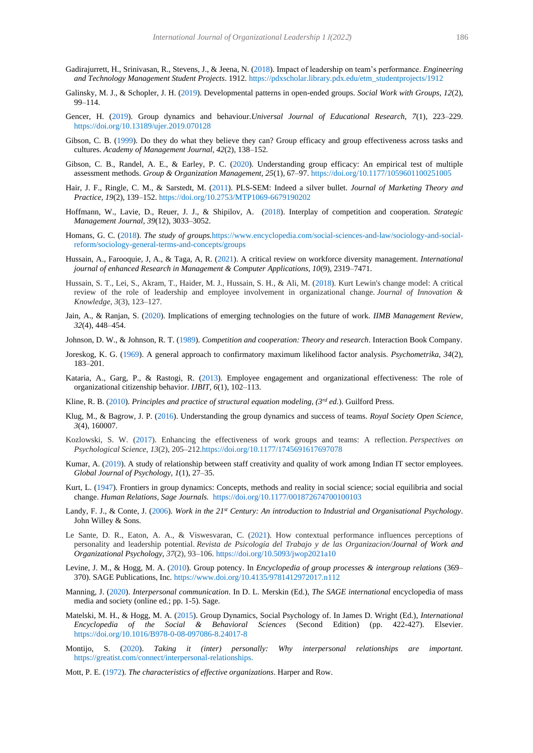- <span id="page-22-18"></span>Gadirajurrett, H., Srinivasan, R., Stevens, J., & Jeena, N. [\(2018\)](#page-7-3). Impact of leadership on team's performance. *Engineering and Technology Management Student Projects*. 1912[. https://pdxscholar.library.pdx.edu/etm\\_studentprojects/1912](https://pdxscholar.library.pdx.edu/etm_studentprojects/1912)
- <span id="page-22-19"></span>Galinsky, M. J., & Schopler, J. H. [\(2019\)](#page-8-0). Developmental patterns in open-ended groups. *Social Work with Groups, 12*(2), 99–114.
- <span id="page-22-6"></span>Gencer, H. [\(2019\)](#page-1-4). Group dynamics and behaviour.*Universal Journal of Educational Research, 7*(1), 223–229. <https://doi.org/10.13189/ujer.2019.070128>
- <span id="page-22-21"></span>Gibson, C. B. [\(1999\)](#page-9-1). Do they do what they believe they can? Group efficacy and group effectiveness across tasks and cultures. *Academy of Management Journal, 42*(2), 138–152.
- <span id="page-22-14"></span>Gibson, C. B., Randel, A. E., & Earley, P. C. [\(2020\)](#page-5-4). Understanding group efficacy: An empirical test of multiple assessment methods. *Group & Organization Management, 25*(1), 67–97.<https://doi.org/10.1177/1059601100251005>
- <span id="page-22-22"></span>Hair, J. F., Ringle, C. M., & Sarstedt, M. [\(2011\)](#page-11-1). PLS-SEM: Indeed a silver bullet. *Journal of Marketing Theory and Practice, 19*(2), 139–152. https://doi.org/10.2753/MTP1069-6679190202
- <span id="page-22-10"></span>Hoffmann, W., Lavie, D., Reuer, J. J., & Shipilov, A. [\(2018\)](#page-2-1). Interplay of competition and cooperation. *Strategic Management Journal, 39*(12), 3033–3052.
- <span id="page-22-7"></span>Homans, G. C. [\(2018\)](#page-1-5). *The study of groups.*[https://www.encyclopedia.com/social-sciences-and-law/sociology-and-social](https://www.encyclopedia.com/social-sciences-and-law/sociology-and-social-reform/sociology-general-terms-and-concepts/groups)[reform/sociology-general-terms-and-concepts/groups](https://www.encyclopedia.com/social-sciences-and-law/sociology-and-social-reform/sociology-general-terms-and-concepts/groups)
- <span id="page-22-3"></span>Hussain, A., Farooquie, J, A., & Taga, A, R. [\(2021\)](#page-1-6). A critical review on workforce diversity management. *International journal of enhanced Research in Management & Computer Applications, 10*(9), 2319–7471.
- <span id="page-22-4"></span>Hussain, S. T., Lei, S., Akram, T., Haider, M. J., Hussain, S. H., & Ali, M. [\(2018\)](#page-1-7). Kurt Lewin's change model: A critical review of the role of leadership and employee involvement in organizational change. *Journal of Innovation & Knowledge*, *3*(3), 123–127.
- <span id="page-22-2"></span>Jain, A., & Ranjan, S. [\(2020\)](#page-1-8). Implications of emerging technologies on the future of work. *IIMB Management Review, 32*(4), 448–454.
- <span id="page-22-9"></span>Johnson, D. W., & Johnson, R. T. [\(1989\)](#page-2-2). *Competition and cooperation: Theory and research*. Interaction Book Company.
- <span id="page-22-23"></span>Joreskog, K. G. [\(1969\)](#page-11-2). A general approach to confirmatory maximum likelihood factor analysis. *Psychometrika*, *34*(2), 183–201.
- <span id="page-22-17"></span>Kataria, A., Garg, P., & Rastogi, R. [\(2013\)](#page-6-7). Employee engagement and organizational effectiveness: The role of organizational citizenship behavior. *IJBIT, 6*(1), 102–113.
- <span id="page-22-24"></span>Kline, R. B. [\(2010\)](#page-11-3). *Principles and practice of structural equation modeling, (3rd ed.*). Guilford Press.
- <span id="page-22-1"></span>Klug, M., & Bagrow, J. P. [\(2016\)](#page-1-9). Understanding the group dynamics and success of teams. *Royal Society Open Science, 3*(4), 160007.
- <span id="page-22-0"></span>Kozlowski, S. W. [\(2017\)](#page-0-0). Enhancing the effectiveness of work groups and teams: A reflection. *Perspectives on Psychological Science*, *13*(2), 205–212[.https://doi.org/10.1177/1745691617697078](https://doi.org/10.1177/1745691617697078)
- <span id="page-22-25"></span>Kumar, A. [\(2019\)](#page-19-0). A study of relationship between staff creativity and quality of work among Indian IT sector employees. *Global Journal of Psychology, 1*(1), 27–35.
- <span id="page-22-5"></span>Kurt, L. [\(1947\)](#page-1-10). Frontiers in group dynamics: Concepts, methods and reality in social science; social equilibria and social change. *Human Relations, Sage Journals.* <https://doi.org/10.1177/001872674700100103>
- <span id="page-22-11"></span>Landy, F. J., & Conte, J. [\(2006\)](#page-3-3). *Work in the 21st Century: An introduction to Industrial and Organisational Psychology*. John Willey & Sons.
- <span id="page-22-20"></span>Le Sante, D. R., Eaton, A. A., & Viswesvaran, C. [\(2021\)](#page-8-1). How contextual performance influences perceptions of personality and leadership potential. *Revista de Psicología del Trabajo y de las Organizacion/Journal of Work and Organizational Psychology, 37*(2), 93–106. <https://doi.org/10.5093/jwop2021a10>
- <span id="page-22-15"></span>Levine, J. M., & Hogg, M. A. [\(2010\)](#page-5-5). Group potency. In *Encyclopedia of group processes & intergroup relations* (369– 370). SAGE Publications, Inc[. https://www.doi.org/10.4135/9781412972017.n112](https://www.doi.org/10.4135/9781412972017.n112)
- <span id="page-22-13"></span>Manning, J. [\(2020\)](#page-5-6). *Interpersonal communication*. In D. L. Merskin (Ed.), *The SAGE international* encyclopedia of mass media and society (online ed.; pp. 1-5). Sage.
- <span id="page-22-8"></span>Matelski, M. H., & Hogg, M. A. [\(2015\)](#page-1-11). Group Dynamics, Social Psychology of. In James D. Wright (Ed.), *International Encyclopedia of the Social & Behavioral Sciences* (Second Edition) (pp. 422-427). Elsevier. https://doi.org/10.1016/B978-0-08-097086-8.24017-8
- <span id="page-22-12"></span>Montijo, S. [\(2020\)](#page-4-1). *Taking it (inter) personally: Why interpersonal relationships are important.*  [https://greatist.com/connect/interpersonal-relationships.](https://greatist.com/connect/interpersonal-relationships)
- <span id="page-22-16"></span>Mott, P. E. [\(1972\)](#page-6-8). *The characteristics of effective organizations*. Harper and Row.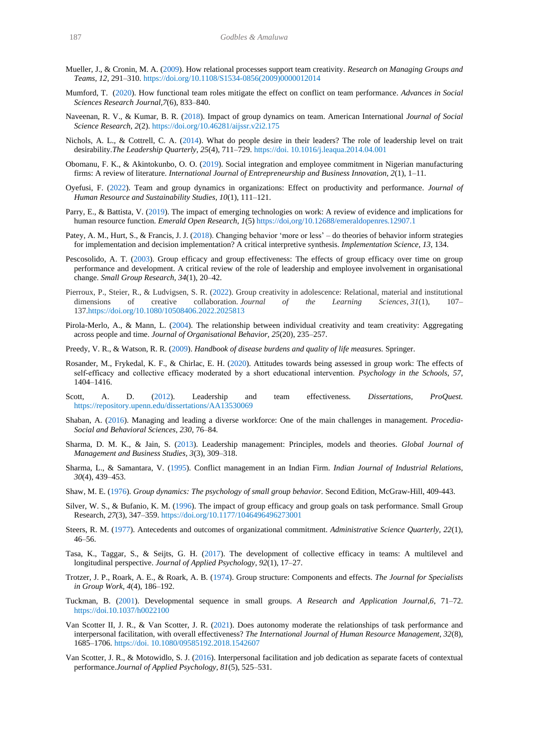- <span id="page-23-12"></span>Mueller, J., & Cronin, M. A. [\(2009\)](#page-5-7). How relational processes support team creativity. *Research on Managing Groups and Teams, 12*, 291–310[. https://doi.org/10.1108/S1534-0856\(2009\)0000012014](https://doi.org/10.1108/S1534-0856(2009)0000012014)
- <span id="page-23-16"></span>Mumford, T. [\(2020\)](#page-7-4). How functional team roles mitigate the effect on conflict on team performance. *Advances in Social Sciences Research Journal,7*(6), 833–840.
- <span id="page-23-0"></span>Naveenan, R. V., & Kumar, B. R. [\(2018\)](#page-1-12). Impact of group dynamics on team. American International *Journal of Social Science Research, 2*(2).<https://doi.org/10.46281/aijssr.v2i2.175>
- <span id="page-23-10"></span>Nichols, A. L., & Cottrell, C. A. [\(2014\)](#page-4-2). What do people desire in their leaders? The role of leadership level on trait desirability.*The Leadership Quarterly, 25*(4), 711–729. https://doi. 10.1016/j.leaqua.2014.04.001
- <span id="page-23-8"></span>Obomanu, F. K., & Akintokunbo, O. O. [\(2019\)](#page-4-3). Social integration and employee commitment in Nigerian manufacturing firms: A review of literature. *International Journal of Entrepreneurship and Business Innovation, 2*(1), 1–11.
- <span id="page-23-1"></span>Oyefusi, F. [\(2022\)](#page-1-13). Team and group dynamics in organizations: Effect on productivity and performance. *Journal of Human Resource and Sustainability Studies, 10*(1), 111–121.
- <span id="page-23-2"></span>Parry, E., & Battista, V. [\(2019\)](#page-1-14). The impact of emerging technologies on work: A review of evidence and implications for human resource function. *Emerald Open Research, 1*(5)<https://doi,org/10.12688/emeraldopenres.12907.1>
- <span id="page-23-4"></span>Patey, A. M., Hurt, S., & Francis, J. J. [\(2018\)](#page-1-15). Changing behavior 'more or less' – do theories of behavior inform strategies for implementation and decision implementation? A critical interpretive synthesis. *Implementation Science, 13*, 134.
- <span id="page-23-21"></span>Pescosolido, A. T. [\(2003\)](#page-9-2). Group efficacy and group effectiveness: The effects of group efficacy over time on group performance and development. A critical review of the role of leadership and employee involvement in organisational change. *Small Group Research, 34*(1), 20–42.
- <span id="page-23-19"></span>Pierroux, P., Steier, R., & Ludvigsen, S. R. [\(2022\)](#page-8-2). Group creativity in adolescence: Relational, material and institutional dimensions of creative collaboration. *Journal of the Learning Sciences*, *31*(1), 107– 13[7.https://doi.org/10.1080/10508406.2022.2025813](https://doi.org/10.1080/10508406.2022.2025813)
- <span id="page-23-20"></span>Pirola-Merlo, A., & Mann, L. [\(2004\)](#page-8-3). The relationship between individual creativity and team creativity: Aggregating across people and time. *Journal of Organisational Behavior, 25*(20), 235–257.
- <span id="page-23-23"></span>Preedy, V. R., & Watson, R. R. [\(2009\)](#page-11-4). *Handbook of disease burdens and quality of life measures.* Springer.
- <span id="page-23-13"></span>Rosander, M., Frykedal, K. F., & Chirlac, E. H. [\(2020\)](#page-5-8). Attitudes towards being assessed in group work: The effects of self-efficacy and collective efficacy moderated by a short educational intervention. *Psychology in the Schools*, 57, 1404–1416.
- <span id="page-23-17"></span>Scott, A. D. [\(2012\)](#page-8-4). Leadership and team effectiveness. *Dissertations, ProQuest.* https://repository.upenn.edu/dissertations/AA13530069
- <span id="page-23-3"></span>Shaban, A. [\(2016\)](#page-1-16). Managing and leading a diverse workforce: One of the main challenges in management. *Procedia-Social and Behavioral Sciences, 230*, 76–84.
- <span id="page-23-9"></span>Sharma, D. M. K., & Jain, S. [\(2013\)](#page-4-4). Leadership management: Principles, models and theories. *Global Journal of Management and Business Studies, 3*(3), 309–318.
- <span id="page-23-15"></span>Sharma, L., & Samantara, V. [\(1995\)](#page-6-9). Conflict management in an Indian Firm. *Indian Journal of Industrial Relations*, *30*(4), 439–453.
- <span id="page-23-5"></span>Shaw, M. E. [\(1976\)](#page-1-17). *Group dynamics: The psychology of small group behavior.* Second Edition, McGraw-Hill, 409-443.
- <span id="page-23-22"></span>Silver, W. S., & Bufanio, K. M. [\(1996\)](#page-9-3). The impact of group efficacy and group goals on task performance. Small Group Research, *27*(3), 347–359[. https://doi.org/10.1177/1046496496273001](https://doi.org/10.1177/1046496496273001)
- <span id="page-23-14"></span>Steers, R. M. [\(1977\)](#page-6-10). Antecedents and outcomes of organizational commitment. *Administrative Science Quarterly, 22*(1), 46–56.
- <span id="page-23-24"></span>Tasa, K., Taggar, S., & Seijts, G. H. [\(2017\)](#page-19-1). The development of collective efficacy in teams: A multilevel and longitudinal perspective. *Journal of Applied Psychology, 92*(1), 17–27.
- <span id="page-23-7"></span>Trotzer, J. P., Roark, A. E., & Roark, A. B. [\(1974\)](#page-2-3). Group structure: Components and effects. *The Journal for Specialists in Group Work, 4*(4), 186–192.
- <span id="page-23-6"></span>Tuckman, B. [\(2001\)](#page-2-4). Developmental sequence in small groups. *A Research and Application Journal,6*, 71–72. <https://doi.10.1037/h0022100>
- <span id="page-23-18"></span>Van Scotter II, J. R., & Van Scotter, J. R. [\(2021\)](#page-8-5). Does autonomy moderate the relationships of task performance and interpersonal facilitation, with overall effectiveness? *The International Journal of Human Resource Management, 32*(8), 1685–1706. https://doi. 10.1080/09585192.2018.1542607
- <span id="page-23-11"></span>Van Scotter, J. R., & Motowidlo, S. J. [\(2016\)](#page-5-9). Interpersonal facilitation and job dedication as separate facets of contextual performance.*Journal of Applied Psychology, 81*(5), 525–531.